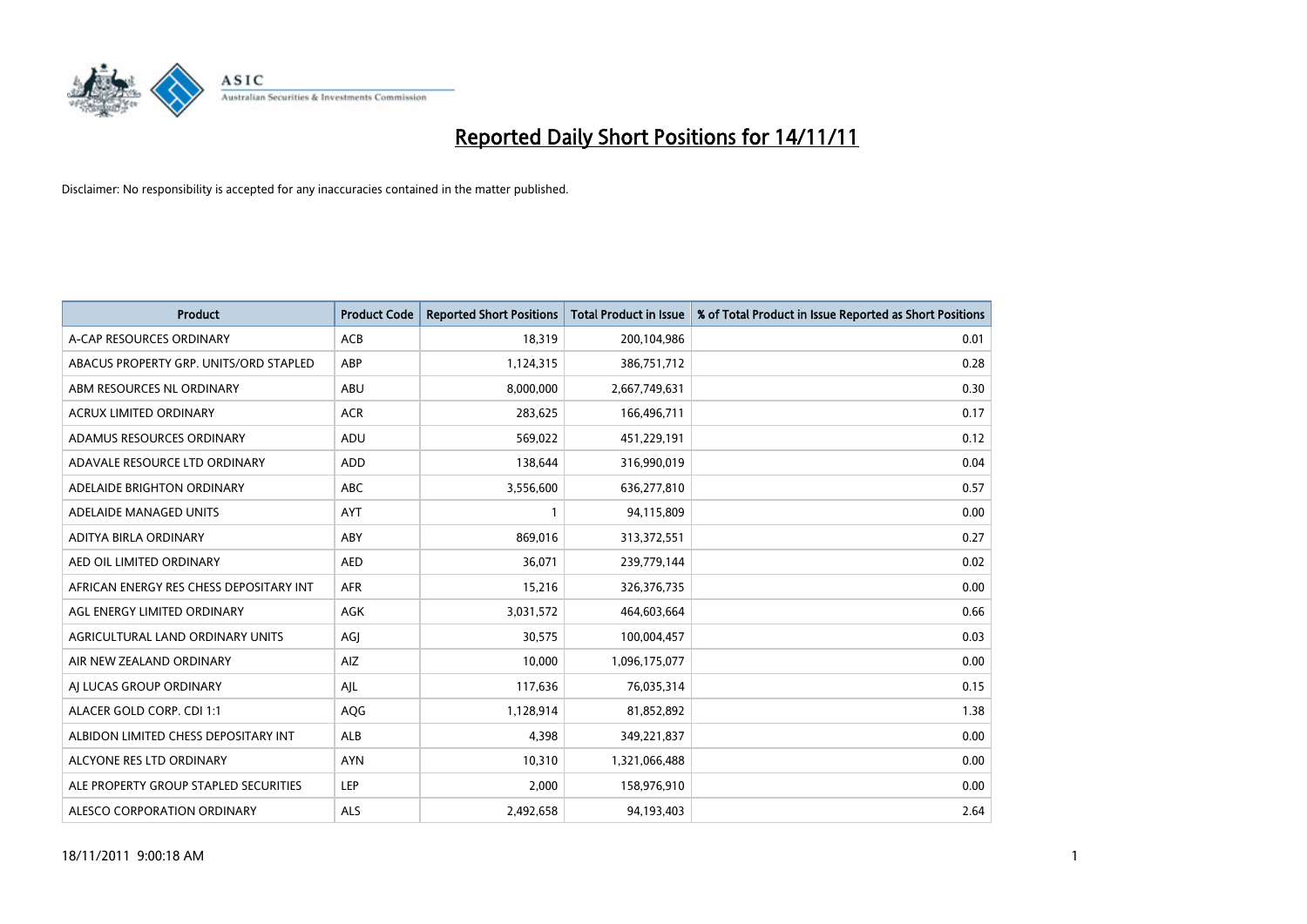

| <b>Product</b>                          | <b>Product Code</b> | <b>Reported Short Positions</b> | <b>Total Product in Issue</b> | % of Total Product in Issue Reported as Short Positions |
|-----------------------------------------|---------------------|---------------------------------|-------------------------------|---------------------------------------------------------|
| A-CAP RESOURCES ORDINARY                | <b>ACB</b>          | 18,319                          | 200,104,986                   | 0.01                                                    |
| ABACUS PROPERTY GRP. UNITS/ORD STAPLED  | ABP                 | 1,124,315                       | 386,751,712                   | 0.28                                                    |
| ABM RESOURCES NL ORDINARY               | <b>ABU</b>          | 8,000,000                       | 2,667,749,631                 | 0.30                                                    |
| ACRUX LIMITED ORDINARY                  | <b>ACR</b>          | 283,625                         | 166,496,711                   | 0.17                                                    |
| ADAMUS RESOURCES ORDINARY               | ADU                 | 569,022                         | 451,229,191                   | 0.12                                                    |
| ADAVALE RESOURCE LTD ORDINARY           | <b>ADD</b>          | 138,644                         | 316,990,019                   | 0.04                                                    |
| ADELAIDE BRIGHTON ORDINARY              | <b>ABC</b>          | 3,556,600                       | 636,277,810                   | 0.57                                                    |
| ADELAIDE MANAGED UNITS                  | <b>AYT</b>          |                                 | 94,115,809                    | 0.00                                                    |
| ADITYA BIRLA ORDINARY                   | ABY                 | 869,016                         | 313,372,551                   | 0.27                                                    |
| AED OIL LIMITED ORDINARY                | <b>AED</b>          | 36,071                          | 239,779,144                   | 0.02                                                    |
| AFRICAN ENERGY RES CHESS DEPOSITARY INT | <b>AFR</b>          | 15,216                          | 326, 376, 735                 | 0.00                                                    |
| AGL ENERGY LIMITED ORDINARY             | <b>AGK</b>          | 3,031,572                       | 464,603,664                   | 0.66                                                    |
| AGRICULTURAL LAND ORDINARY UNITS        | AGI                 | 30,575                          | 100,004,457                   | 0.03                                                    |
| AIR NEW ZEALAND ORDINARY                | AIZ                 | 10,000                          | 1,096,175,077                 | 0.00                                                    |
| AI LUCAS GROUP ORDINARY                 | AJL                 | 117,636                         | 76,035,314                    | 0.15                                                    |
| ALACER GOLD CORP. CDI 1:1               | <b>AQG</b>          | 1,128,914                       | 81,852,892                    | 1.38                                                    |
| ALBIDON LIMITED CHESS DEPOSITARY INT    | <b>ALB</b>          | 4,398                           | 349,221,837                   | 0.00                                                    |
| ALCYONE RES LTD ORDINARY                | <b>AYN</b>          | 10,310                          | 1,321,066,488                 | 0.00                                                    |
| ALE PROPERTY GROUP STAPLED SECURITIES   | LEP                 | 2,000                           | 158,976,910                   | 0.00                                                    |
| ALESCO CORPORATION ORDINARY             | ALS                 | 2,492,658                       | 94,193,403                    | 2.64                                                    |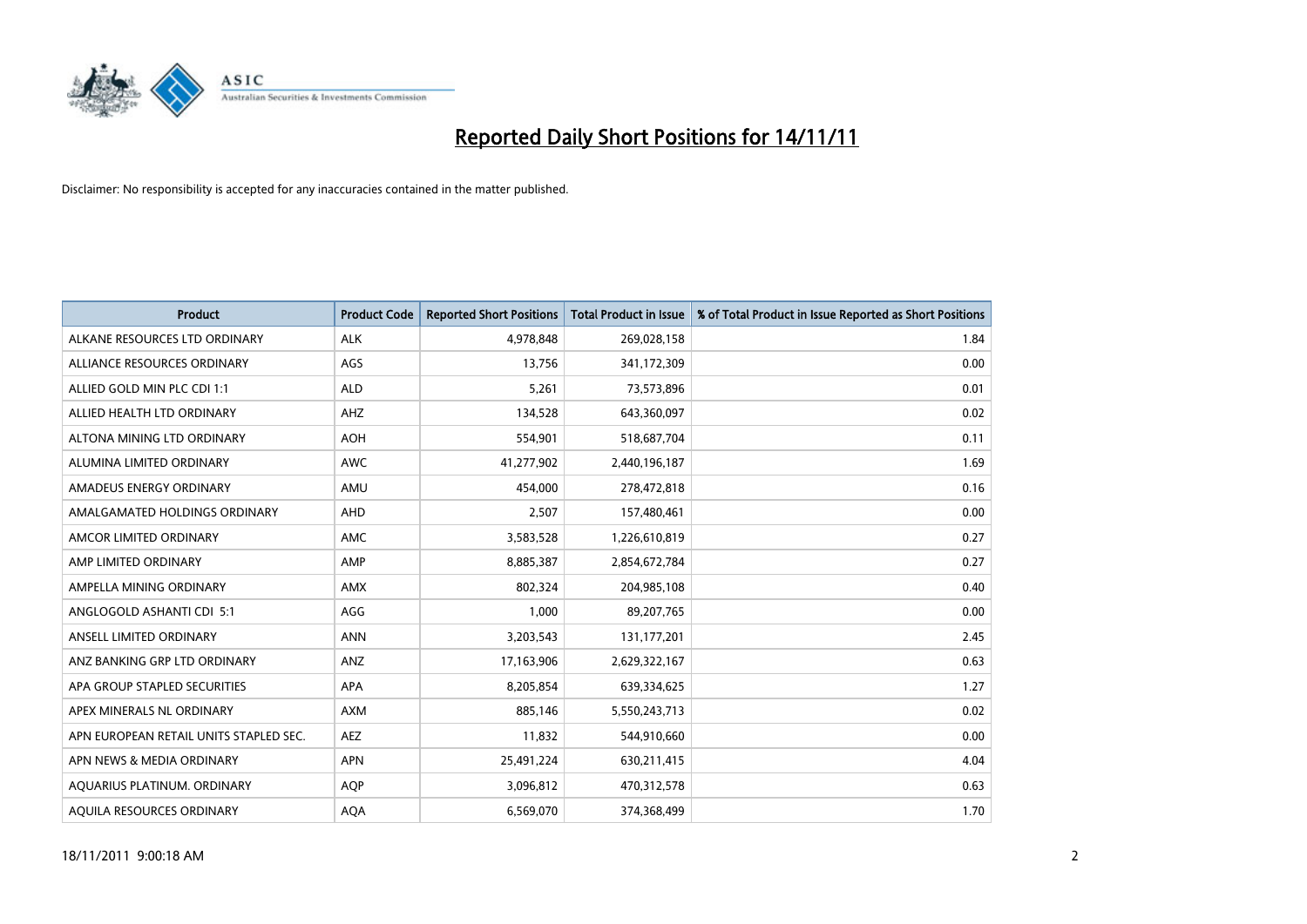

| <b>Product</b>                         | <b>Product Code</b> | <b>Reported Short Positions</b> | <b>Total Product in Issue</b> | % of Total Product in Issue Reported as Short Positions |
|----------------------------------------|---------------------|---------------------------------|-------------------------------|---------------------------------------------------------|
| ALKANE RESOURCES LTD ORDINARY          | <b>ALK</b>          | 4,978,848                       | 269,028,158                   | 1.84                                                    |
| ALLIANCE RESOURCES ORDINARY            | AGS                 | 13,756                          | 341,172,309                   | 0.00                                                    |
| ALLIED GOLD MIN PLC CDI 1:1            | <b>ALD</b>          | 5,261                           | 73,573,896                    | 0.01                                                    |
| ALLIED HEALTH LTD ORDINARY             | AHZ                 | 134,528                         | 643,360,097                   | 0.02                                                    |
| ALTONA MINING LTD ORDINARY             | <b>AOH</b>          | 554,901                         | 518,687,704                   | 0.11                                                    |
| ALUMINA LIMITED ORDINARY               | <b>AWC</b>          | 41,277,902                      | 2,440,196,187                 | 1.69                                                    |
| AMADEUS ENERGY ORDINARY                | AMU                 | 454.000                         | 278,472,818                   | 0.16                                                    |
| AMALGAMATED HOLDINGS ORDINARY          | <b>AHD</b>          | 2,507                           | 157,480,461                   | 0.00                                                    |
| AMCOR LIMITED ORDINARY                 | <b>AMC</b>          | 3,583,528                       | 1,226,610,819                 | 0.27                                                    |
| AMP LIMITED ORDINARY                   | AMP                 | 8,885,387                       | 2,854,672,784                 | 0.27                                                    |
| AMPELLA MINING ORDINARY                | <b>AMX</b>          | 802,324                         | 204,985,108                   | 0.40                                                    |
| ANGLOGOLD ASHANTI CDI 5:1              | AGG                 | 1.000                           | 89,207,765                    | 0.00                                                    |
| ANSELL LIMITED ORDINARY                | <b>ANN</b>          | 3,203,543                       | 131,177,201                   | 2.45                                                    |
| ANZ BANKING GRP LTD ORDINARY           | ANZ                 | 17,163,906                      | 2,629,322,167                 | 0.63                                                    |
| APA GROUP STAPLED SECURITIES           | <b>APA</b>          | 8,205,854                       | 639,334,625                   | 1.27                                                    |
| APEX MINERALS NL ORDINARY              | <b>AXM</b>          | 885,146                         | 5,550,243,713                 | 0.02                                                    |
| APN EUROPEAN RETAIL UNITS STAPLED SEC. | <b>AEZ</b>          | 11,832                          | 544,910,660                   | 0.00                                                    |
| APN NEWS & MEDIA ORDINARY              | <b>APN</b>          | 25,491,224                      | 630,211,415                   | 4.04                                                    |
| AOUARIUS PLATINUM. ORDINARY            | <b>AOP</b>          | 3,096,812                       | 470,312,578                   | 0.63                                                    |
| AOUILA RESOURCES ORDINARY              | <b>AQA</b>          | 6,569,070                       | 374,368,499                   | 1.70                                                    |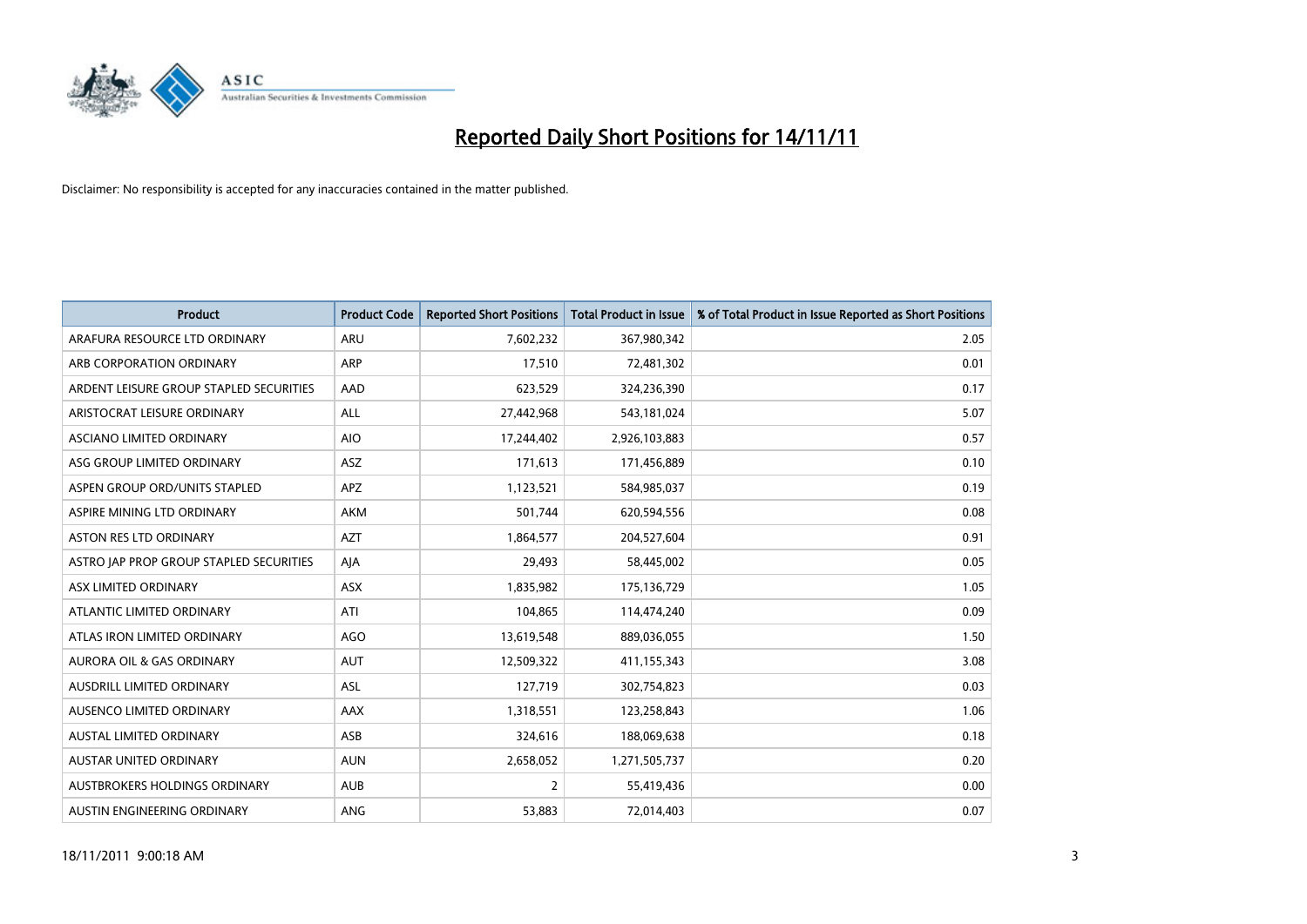

| <b>Product</b>                          | <b>Product Code</b> | <b>Reported Short Positions</b> | <b>Total Product in Issue</b> | % of Total Product in Issue Reported as Short Positions |
|-----------------------------------------|---------------------|---------------------------------|-------------------------------|---------------------------------------------------------|
| ARAFURA RESOURCE LTD ORDINARY           | <b>ARU</b>          | 7,602,232                       | 367,980,342                   | 2.05                                                    |
| ARB CORPORATION ORDINARY                | <b>ARP</b>          | 17,510                          | 72,481,302                    | 0.01                                                    |
| ARDENT LEISURE GROUP STAPLED SECURITIES | AAD                 | 623,529                         | 324,236,390                   | 0.17                                                    |
| ARISTOCRAT LEISURE ORDINARY             | ALL                 | 27,442,968                      | 543,181,024                   | 5.07                                                    |
| ASCIANO LIMITED ORDINARY                | <b>AIO</b>          | 17,244,402                      | 2,926,103,883                 | 0.57                                                    |
| ASG GROUP LIMITED ORDINARY              | <b>ASZ</b>          | 171,613                         | 171,456,889                   | 0.10                                                    |
| ASPEN GROUP ORD/UNITS STAPLED           | <b>APZ</b>          | 1,123,521                       | 584,985,037                   | 0.19                                                    |
| ASPIRE MINING LTD ORDINARY              | <b>AKM</b>          | 501,744                         | 620,594,556                   | 0.08                                                    |
| <b>ASTON RES LTD ORDINARY</b>           | <b>AZT</b>          | 1,864,577                       | 204,527,604                   | 0.91                                                    |
| ASTRO JAP PROP GROUP STAPLED SECURITIES | AIA                 | 29,493                          | 58,445,002                    | 0.05                                                    |
| ASX LIMITED ORDINARY                    | ASX                 | 1,835,982                       | 175,136,729                   | 1.05                                                    |
| ATLANTIC LIMITED ORDINARY               | ATI                 | 104,865                         | 114,474,240                   | 0.09                                                    |
| ATLAS IRON LIMITED ORDINARY             | AGO                 | 13,619,548                      | 889,036,055                   | 1.50                                                    |
| <b>AURORA OIL &amp; GAS ORDINARY</b>    | <b>AUT</b>          | 12,509,322                      | 411,155,343                   | 3.08                                                    |
| AUSDRILL LIMITED ORDINARY               | <b>ASL</b>          | 127,719                         | 302,754,823                   | 0.03                                                    |
| AUSENCO LIMITED ORDINARY                | AAX                 | 1,318,551                       | 123,258,843                   | 1.06                                                    |
| AUSTAL LIMITED ORDINARY                 | ASB                 | 324,616                         | 188,069,638                   | 0.18                                                    |
| AUSTAR UNITED ORDINARY                  | <b>AUN</b>          | 2,658,052                       | 1,271,505,737                 | 0.20                                                    |
| AUSTBROKERS HOLDINGS ORDINARY           | <b>AUB</b>          | 2                               | 55,419,436                    | 0.00                                                    |
| AUSTIN ENGINEERING ORDINARY             | ANG                 | 53,883                          | 72,014,403                    | 0.07                                                    |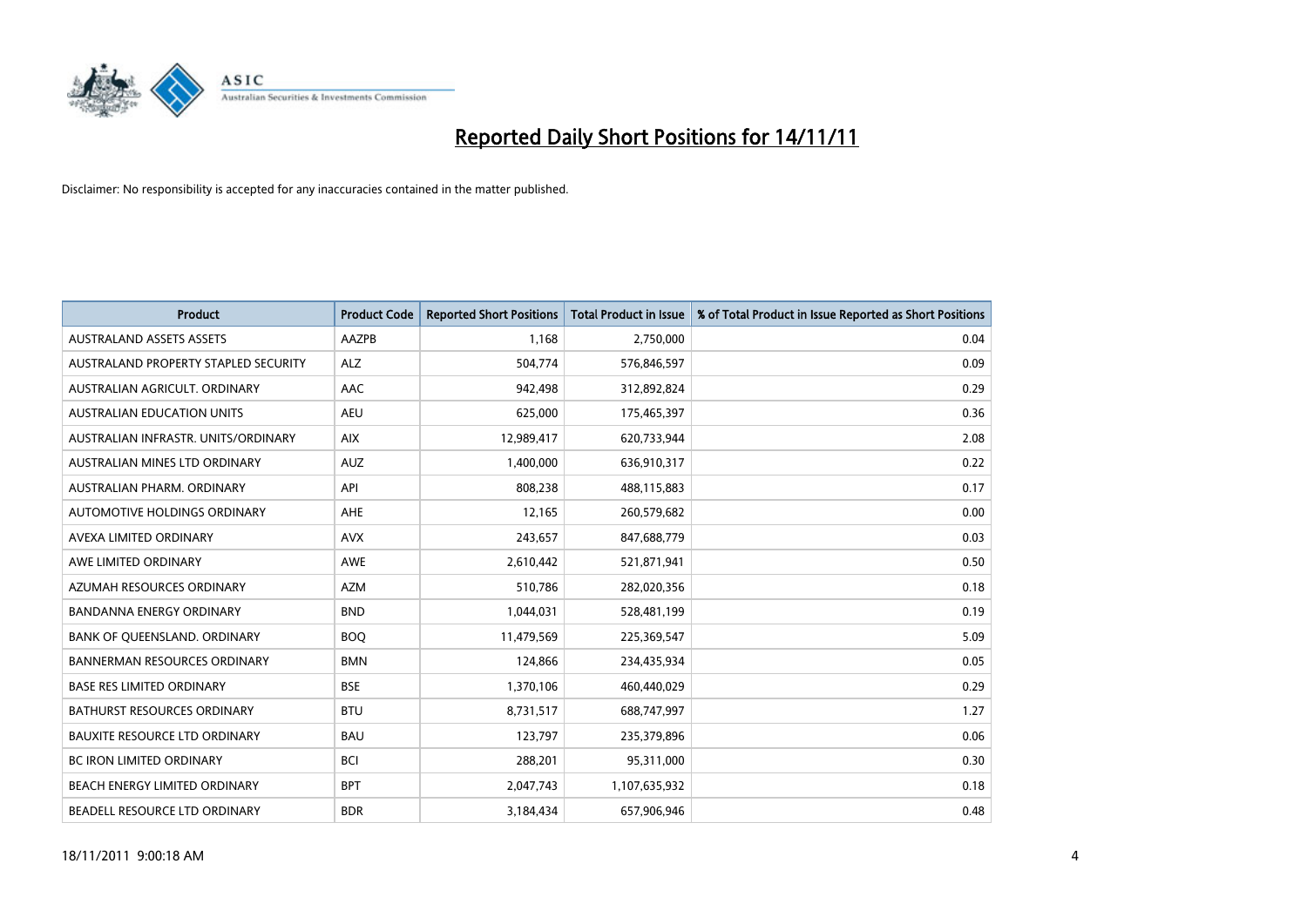

| <b>Product</b>                       | <b>Product Code</b> | <b>Reported Short Positions</b> | Total Product in Issue | % of Total Product in Issue Reported as Short Positions |
|--------------------------------------|---------------------|---------------------------------|------------------------|---------------------------------------------------------|
| <b>AUSTRALAND ASSETS ASSETS</b>      | AAZPB               | 1,168                           | 2,750,000              | 0.04                                                    |
| AUSTRALAND PROPERTY STAPLED SECURITY | <b>ALZ</b>          | 504,774                         | 576,846,597            | 0.09                                                    |
| AUSTRALIAN AGRICULT, ORDINARY        | AAC                 | 942,498                         | 312,892,824            | 0.29                                                    |
| <b>AUSTRALIAN EDUCATION UNITS</b>    | <b>AEU</b>          | 625,000                         | 175,465,397            | 0.36                                                    |
| AUSTRALIAN INFRASTR, UNITS/ORDINARY  | <b>AIX</b>          | 12,989,417                      | 620,733,944            | 2.08                                                    |
| AUSTRALIAN MINES LTD ORDINARY        | <b>AUZ</b>          | 1,400,000                       | 636,910,317            | 0.22                                                    |
| AUSTRALIAN PHARM, ORDINARY           | API                 | 808,238                         | 488,115,883            | 0.17                                                    |
| AUTOMOTIVE HOLDINGS ORDINARY         | AHE                 | 12,165                          | 260,579,682            | 0.00                                                    |
| AVEXA LIMITED ORDINARY               | <b>AVX</b>          | 243,657                         | 847,688,779            | 0.03                                                    |
| AWE LIMITED ORDINARY                 | AWE                 | 2,610,442                       | 521,871,941            | 0.50                                                    |
| AZUMAH RESOURCES ORDINARY            | <b>AZM</b>          | 510,786                         | 282,020,356            | 0.18                                                    |
| <b>BANDANNA ENERGY ORDINARY</b>      | <b>BND</b>          | 1,044,031                       | 528,481,199            | 0.19                                                    |
| BANK OF QUEENSLAND. ORDINARY         | <b>BOO</b>          | 11,479,569                      | 225,369,547            | 5.09                                                    |
| <b>BANNERMAN RESOURCES ORDINARY</b>  | <b>BMN</b>          | 124,866                         | 234,435,934            | 0.05                                                    |
| <b>BASE RES LIMITED ORDINARY</b>     | <b>BSE</b>          | 1,370,106                       | 460,440,029            | 0.29                                                    |
| BATHURST RESOURCES ORDINARY          | <b>BTU</b>          | 8,731,517                       | 688,747,997            | 1.27                                                    |
| <b>BAUXITE RESOURCE LTD ORDINARY</b> | <b>BAU</b>          | 123,797                         | 235,379,896            | 0.06                                                    |
| <b>BC IRON LIMITED ORDINARY</b>      | <b>BCI</b>          | 288,201                         | 95,311,000             | 0.30                                                    |
| BEACH ENERGY LIMITED ORDINARY        | <b>BPT</b>          | 2,047,743                       | 1,107,635,932          | 0.18                                                    |
| BEADELL RESOURCE LTD ORDINARY        | <b>BDR</b>          | 3,184,434                       | 657,906,946            | 0.48                                                    |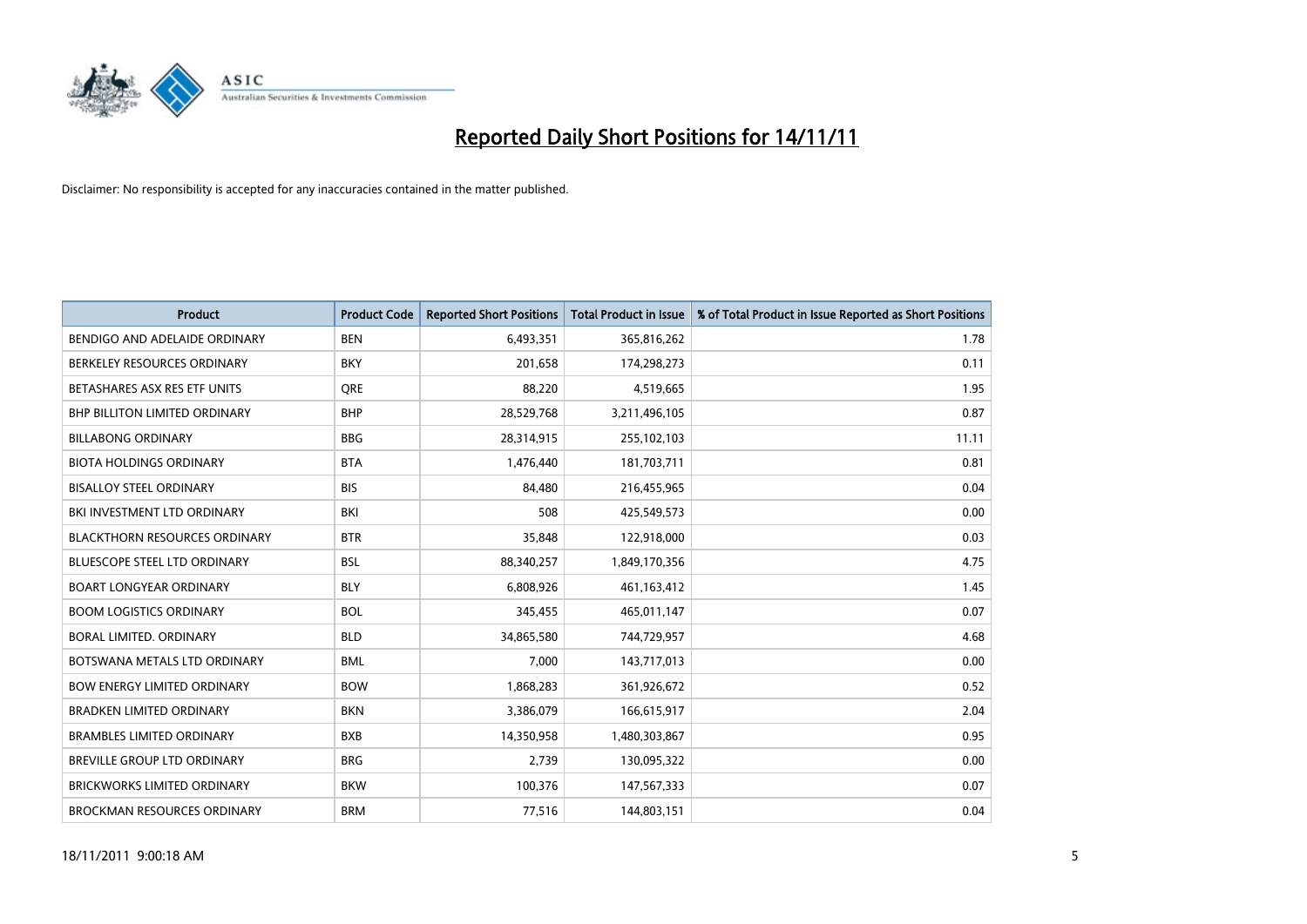

| <b>Product</b>                       | <b>Product Code</b> | <b>Reported Short Positions</b> | <b>Total Product in Issue</b> | % of Total Product in Issue Reported as Short Positions |
|--------------------------------------|---------------------|---------------------------------|-------------------------------|---------------------------------------------------------|
| BENDIGO AND ADELAIDE ORDINARY        | <b>BEN</b>          | 6,493,351                       | 365,816,262                   | 1.78                                                    |
| BERKELEY RESOURCES ORDINARY          | <b>BKY</b>          | 201,658                         | 174,298,273                   | 0.11                                                    |
| BETASHARES ASX RES ETF UNITS         | <b>ORE</b>          | 88,220                          | 4,519,665                     | 1.95                                                    |
| <b>BHP BILLITON LIMITED ORDINARY</b> | <b>BHP</b>          | 28,529,768                      | 3,211,496,105                 | 0.87                                                    |
| <b>BILLABONG ORDINARY</b>            | <b>BBG</b>          | 28,314,915                      | 255,102,103                   | 11.11                                                   |
| <b>BIOTA HOLDINGS ORDINARY</b>       | <b>BTA</b>          | 1,476,440                       | 181,703,711                   | 0.81                                                    |
| <b>BISALLOY STEEL ORDINARY</b>       | <b>BIS</b>          | 84,480                          | 216,455,965                   | 0.04                                                    |
| BKI INVESTMENT LTD ORDINARY          | <b>BKI</b>          | 508                             | 425,549,573                   | 0.00                                                    |
| <b>BLACKTHORN RESOURCES ORDINARY</b> | <b>BTR</b>          | 35,848                          | 122,918,000                   | 0.03                                                    |
| <b>BLUESCOPE STEEL LTD ORDINARY</b>  | <b>BSL</b>          | 88,340,257                      | 1,849,170,356                 | 4.75                                                    |
| <b>BOART LONGYEAR ORDINARY</b>       | <b>BLY</b>          | 6,808,926                       | 461,163,412                   | 1.45                                                    |
| <b>BOOM LOGISTICS ORDINARY</b>       | <b>BOL</b>          | 345,455                         | 465,011,147                   | 0.07                                                    |
| <b>BORAL LIMITED, ORDINARY</b>       | <b>BLD</b>          | 34,865,580                      | 744,729,957                   | 4.68                                                    |
| BOTSWANA METALS LTD ORDINARY         | <b>BML</b>          | 7,000                           | 143,717,013                   | 0.00                                                    |
| <b>BOW ENERGY LIMITED ORDINARY</b>   | <b>BOW</b>          | 1,868,283                       | 361,926,672                   | 0.52                                                    |
| BRADKEN LIMITED ORDINARY             | <b>BKN</b>          | 3,386,079                       | 166,615,917                   | 2.04                                                    |
| <b>BRAMBLES LIMITED ORDINARY</b>     | <b>BXB</b>          | 14,350,958                      | 1,480,303,867                 | 0.95                                                    |
| BREVILLE GROUP LTD ORDINARY          | <b>BRG</b>          | 2,739                           | 130,095,322                   | 0.00                                                    |
| <b>BRICKWORKS LIMITED ORDINARY</b>   | <b>BKW</b>          | 100,376                         | 147,567,333                   | 0.07                                                    |
| <b>BROCKMAN RESOURCES ORDINARY</b>   | <b>BRM</b>          | 77,516                          | 144,803,151                   | 0.04                                                    |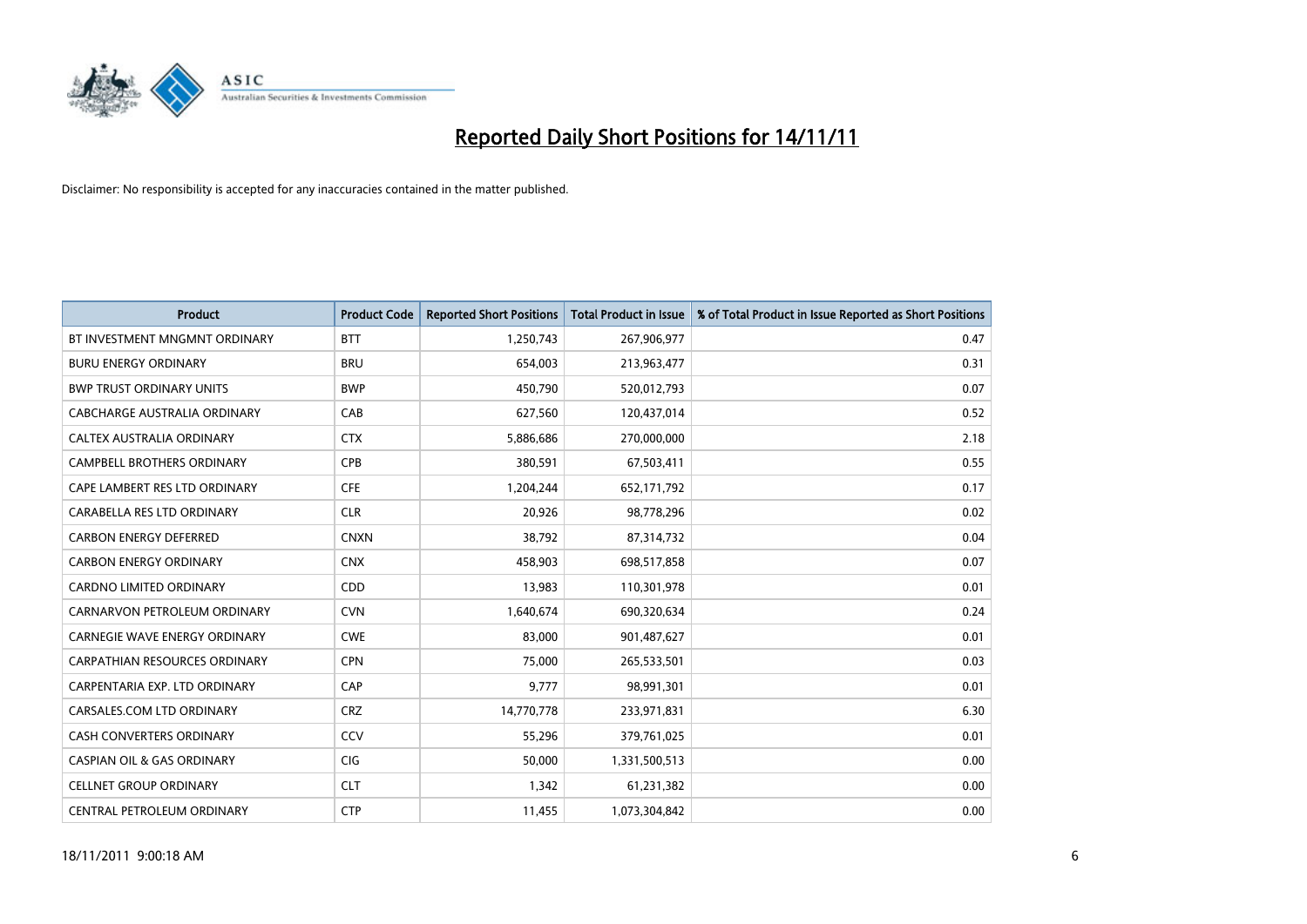

| <b>Product</b>                        | <b>Product Code</b> | <b>Reported Short Positions</b> | <b>Total Product in Issue</b> | % of Total Product in Issue Reported as Short Positions |
|---------------------------------------|---------------------|---------------------------------|-------------------------------|---------------------------------------------------------|
| BT INVESTMENT MNGMNT ORDINARY         | <b>BTT</b>          | 1,250,743                       | 267,906,977                   | 0.47                                                    |
| <b>BURU ENERGY ORDINARY</b>           | <b>BRU</b>          | 654,003                         | 213,963,477                   | 0.31                                                    |
| <b>BWP TRUST ORDINARY UNITS</b>       | <b>BWP</b>          | 450,790                         | 520,012,793                   | 0.07                                                    |
| CABCHARGE AUSTRALIA ORDINARY          | CAB                 | 627,560                         | 120,437,014                   | 0.52                                                    |
| CALTEX AUSTRALIA ORDINARY             | <b>CTX</b>          | 5,886,686                       | 270,000,000                   | 2.18                                                    |
| <b>CAMPBELL BROTHERS ORDINARY</b>     | <b>CPB</b>          | 380,591                         | 67,503,411                    | 0.55                                                    |
| CAPE LAMBERT RES LTD ORDINARY         | <b>CFE</b>          | 1,204,244                       | 652,171,792                   | 0.17                                                    |
| CARABELLA RES LTD ORDINARY            | <b>CLR</b>          | 20,926                          | 98,778,296                    | 0.02                                                    |
| <b>CARBON ENERGY DEFERRED</b>         | <b>CNXN</b>         | 38,792                          | 87,314,732                    | 0.04                                                    |
| <b>CARBON ENERGY ORDINARY</b>         | <b>CNX</b>          | 458,903                         | 698,517,858                   | 0.07                                                    |
| CARDNO LIMITED ORDINARY               | CDD                 | 13,983                          | 110,301,978                   | 0.01                                                    |
| CARNARVON PETROLEUM ORDINARY          | <b>CVN</b>          | 1,640,674                       | 690,320,634                   | 0.24                                                    |
| <b>CARNEGIE WAVE ENERGY ORDINARY</b>  | <b>CWE</b>          | 83,000                          | 901,487,627                   | 0.01                                                    |
| <b>CARPATHIAN RESOURCES ORDINARY</b>  | <b>CPN</b>          | 75,000                          | 265,533,501                   | 0.03                                                    |
| CARPENTARIA EXP. LTD ORDINARY         | CAP                 | 9,777                           | 98,991,301                    | 0.01                                                    |
| CARSALES.COM LTD ORDINARY             | <b>CRZ</b>          | 14,770,778                      | 233,971,831                   | 6.30                                                    |
| <b>CASH CONVERTERS ORDINARY</b>       | CCV                 | 55,296                          | 379,761,025                   | 0.01                                                    |
| <b>CASPIAN OIL &amp; GAS ORDINARY</b> | <b>CIG</b>          | 50,000                          | 1,331,500,513                 | 0.00                                                    |
| <b>CELLNET GROUP ORDINARY</b>         | <b>CLT</b>          | 1,342                           | 61,231,382                    | 0.00                                                    |
| CENTRAL PETROLEUM ORDINARY            | <b>CTP</b>          | 11,455                          | 1,073,304,842                 | 0.00                                                    |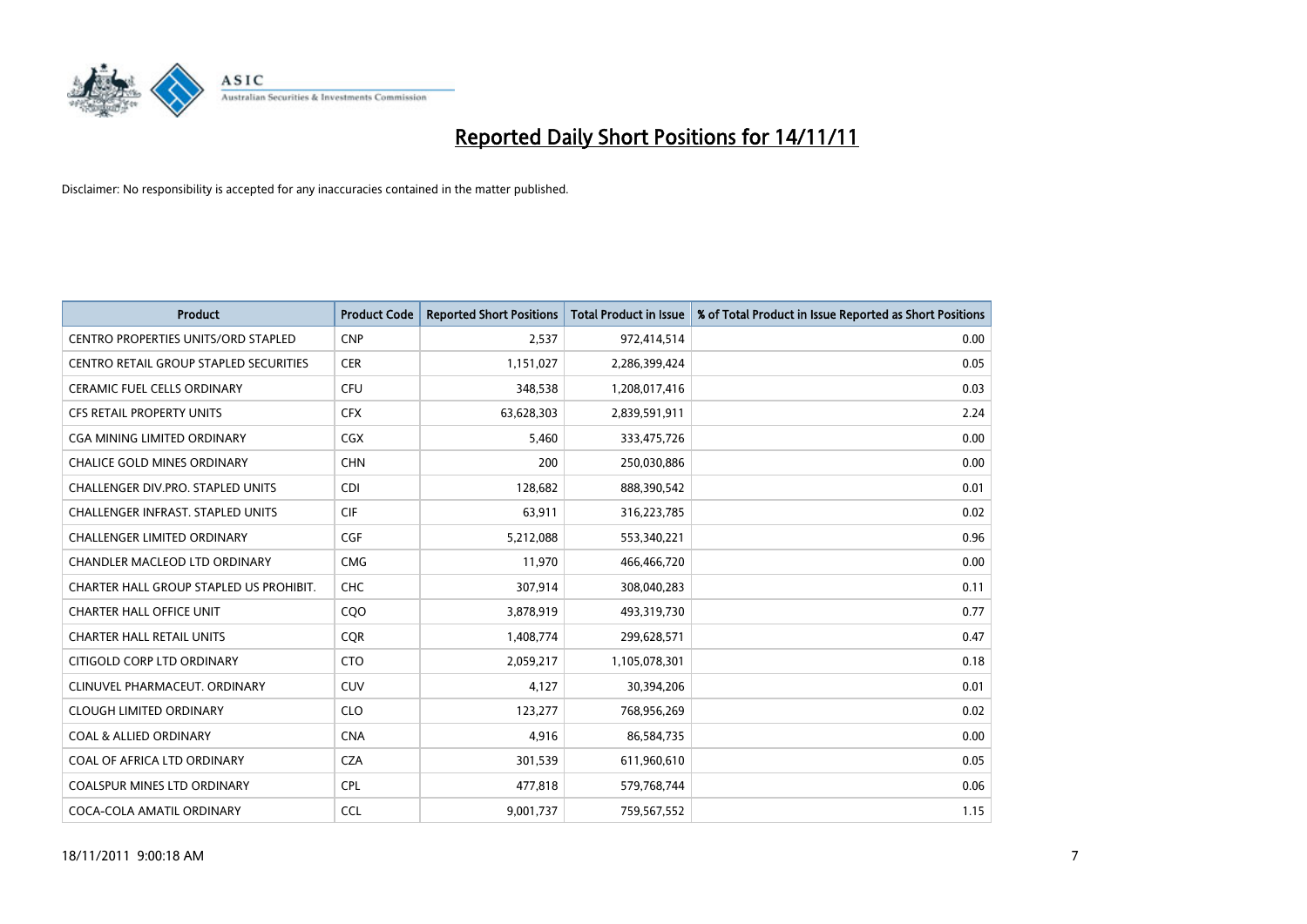

| <b>Product</b>                             | <b>Product Code</b> | <b>Reported Short Positions</b> | <b>Total Product in Issue</b> | % of Total Product in Issue Reported as Short Positions |
|--------------------------------------------|---------------------|---------------------------------|-------------------------------|---------------------------------------------------------|
| <b>CENTRO PROPERTIES UNITS/ORD STAPLED</b> | <b>CNP</b>          | 2,537                           | 972,414,514                   | 0.00                                                    |
| CENTRO RETAIL GROUP STAPLED SECURITIES     | <b>CER</b>          | 1,151,027                       | 2,286,399,424                 | 0.05                                                    |
| <b>CERAMIC FUEL CELLS ORDINARY</b>         | <b>CFU</b>          | 348,538                         | 1,208,017,416                 | 0.03                                                    |
| CFS RETAIL PROPERTY UNITS                  | <b>CFX</b>          | 63,628,303                      | 2,839,591,911                 | 2.24                                                    |
| <b>CGA MINING LIMITED ORDINARY</b>         | <b>CGX</b>          | 5,460                           | 333,475,726                   | 0.00                                                    |
| <b>CHALICE GOLD MINES ORDINARY</b>         | <b>CHN</b>          | 200                             | 250,030,886                   | 0.00                                                    |
| <b>CHALLENGER DIV.PRO. STAPLED UNITS</b>   | <b>CDI</b>          | 128,682                         | 888,390,542                   | 0.01                                                    |
| CHALLENGER INFRAST. STAPLED UNITS          | <b>CIF</b>          | 63,911                          | 316,223,785                   | 0.02                                                    |
| CHALLENGER LIMITED ORDINARY                | <b>CGF</b>          | 5,212,088                       | 553,340,221                   | 0.96                                                    |
| CHANDLER MACLEOD LTD ORDINARY              | <b>CMG</b>          | 11,970                          | 466,466,720                   | 0.00                                                    |
| CHARTER HALL GROUP STAPLED US PROHIBIT.    | <b>CHC</b>          | 307,914                         | 308,040,283                   | 0.11                                                    |
| CHARTER HALL OFFICE UNIT                   | COO                 | 3,878,919                       | 493,319,730                   | 0.77                                                    |
| <b>CHARTER HALL RETAIL UNITS</b>           | <b>COR</b>          | 1,408,774                       | 299,628,571                   | 0.47                                                    |
| CITIGOLD CORP LTD ORDINARY                 | <b>CTO</b>          | 2,059,217                       | 1,105,078,301                 | 0.18                                                    |
| CLINUVEL PHARMACEUT, ORDINARY              | CUV                 | 4,127                           | 30,394,206                    | 0.01                                                    |
| <b>CLOUGH LIMITED ORDINARY</b>             | <b>CLO</b>          | 123,277                         | 768,956,269                   | 0.02                                                    |
| <b>COAL &amp; ALLIED ORDINARY</b>          | <b>CNA</b>          | 4,916                           | 86,584,735                    | 0.00                                                    |
| COAL OF AFRICA LTD ORDINARY                | <b>CZA</b>          | 301,539                         | 611,960,610                   | 0.05                                                    |
| <b>COALSPUR MINES LTD ORDINARY</b>         | <b>CPL</b>          | 477,818                         | 579,768,744                   | 0.06                                                    |
| COCA-COLA AMATIL ORDINARY                  | <b>CCL</b>          | 9,001,737                       | 759,567,552                   | 1.15                                                    |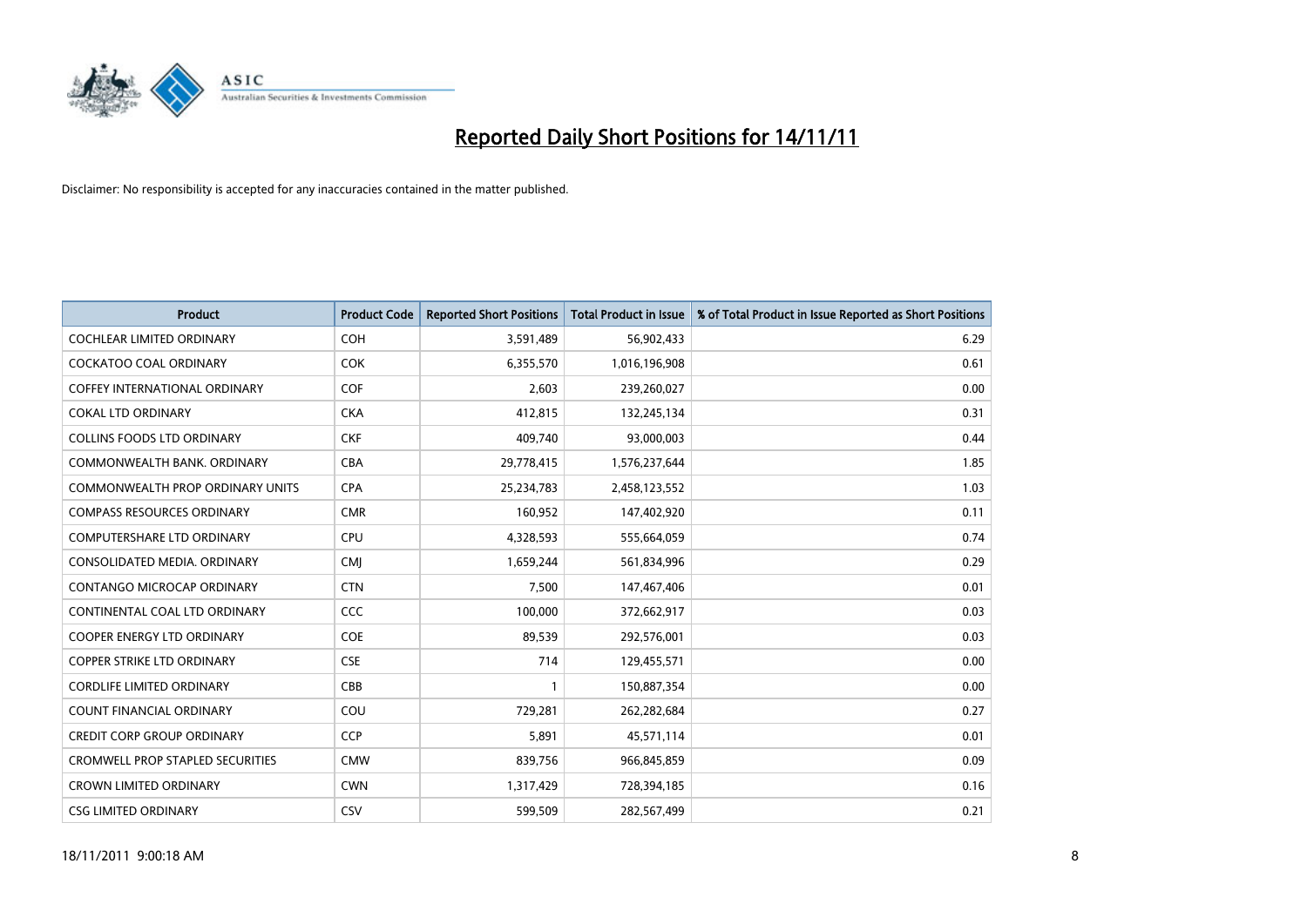

| <b>Product</b>                          | <b>Product Code</b> | <b>Reported Short Positions</b> | <b>Total Product in Issue</b> | % of Total Product in Issue Reported as Short Positions |
|-----------------------------------------|---------------------|---------------------------------|-------------------------------|---------------------------------------------------------|
| <b>COCHLEAR LIMITED ORDINARY</b>        | <b>COH</b>          | 3,591,489                       | 56,902,433                    | 6.29                                                    |
| COCKATOO COAL ORDINARY                  | <b>COK</b>          | 6,355,570                       | 1,016,196,908                 | 0.61                                                    |
| <b>COFFEY INTERNATIONAL ORDINARY</b>    | <b>COF</b>          | 2,603                           | 239,260,027                   | 0.00                                                    |
| <b>COKAL LTD ORDINARY</b>               | <b>CKA</b>          | 412,815                         | 132,245,134                   | 0.31                                                    |
| <b>COLLINS FOODS LTD ORDINARY</b>       | <b>CKF</b>          | 409,740                         | 93,000,003                    | 0.44                                                    |
| COMMONWEALTH BANK, ORDINARY             | <b>CBA</b>          | 29,778,415                      | 1,576,237,644                 | 1.85                                                    |
| <b>COMMONWEALTH PROP ORDINARY UNITS</b> | <b>CPA</b>          | 25,234,783                      | 2,458,123,552                 | 1.03                                                    |
| <b>COMPASS RESOURCES ORDINARY</b>       | <b>CMR</b>          | 160,952                         | 147,402,920                   | 0.11                                                    |
| COMPUTERSHARE LTD ORDINARY              | <b>CPU</b>          | 4,328,593                       | 555,664,059                   | 0.74                                                    |
| CONSOLIDATED MEDIA, ORDINARY            | <b>CMI</b>          | 1,659,244                       | 561,834,996                   | 0.29                                                    |
| CONTANGO MICROCAP ORDINARY              | <b>CTN</b>          | 7,500                           | 147,467,406                   | 0.01                                                    |
| CONTINENTAL COAL LTD ORDINARY           | <b>CCC</b>          | 100,000                         | 372,662,917                   | 0.03                                                    |
| <b>COOPER ENERGY LTD ORDINARY</b>       | <b>COE</b>          | 89,539                          | 292,576,001                   | 0.03                                                    |
| <b>COPPER STRIKE LTD ORDINARY</b>       | <b>CSE</b>          | 714                             | 129,455,571                   | 0.00                                                    |
| <b>CORDLIFE LIMITED ORDINARY</b>        | CBB                 |                                 | 150,887,354                   | 0.00                                                    |
| COUNT FINANCIAL ORDINARY                | COU                 | 729,281                         | 262,282,684                   | 0.27                                                    |
| <b>CREDIT CORP GROUP ORDINARY</b>       | <b>CCP</b>          | 5,891                           | 45,571,114                    | 0.01                                                    |
| <b>CROMWELL PROP STAPLED SECURITIES</b> | <b>CMW</b>          | 839,756                         | 966,845,859                   | 0.09                                                    |
| <b>CROWN LIMITED ORDINARY</b>           | <b>CWN</b>          | 1,317,429                       | 728,394,185                   | 0.16                                                    |
| <b>CSG LIMITED ORDINARY</b>             | CSV                 | 599.509                         | 282,567,499                   | 0.21                                                    |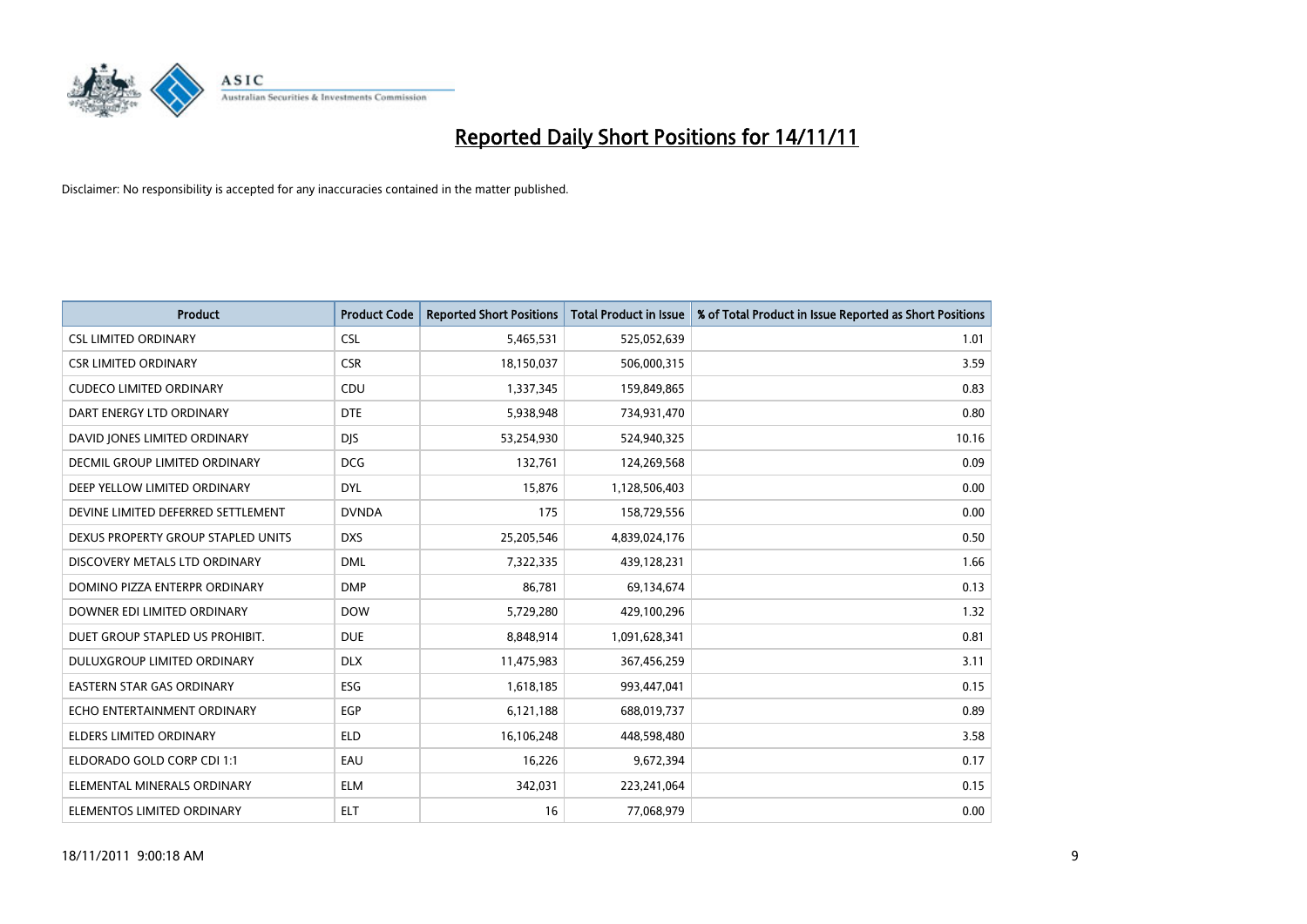

| <b>Product</b>                     | <b>Product Code</b> | <b>Reported Short Positions</b> | <b>Total Product in Issue</b> | % of Total Product in Issue Reported as Short Positions |
|------------------------------------|---------------------|---------------------------------|-------------------------------|---------------------------------------------------------|
| <b>CSL LIMITED ORDINARY</b>        | <b>CSL</b>          | 5,465,531                       | 525,052,639                   | 1.01                                                    |
| <b>CSR LIMITED ORDINARY</b>        | <b>CSR</b>          | 18,150,037                      | 506,000,315                   | 3.59                                                    |
| <b>CUDECO LIMITED ORDINARY</b>     | CDU                 | 1,337,345                       | 159,849,865                   | 0.83                                                    |
| DART ENERGY LTD ORDINARY           | <b>DTE</b>          | 5,938,948                       | 734,931,470                   | 0.80                                                    |
| DAVID JONES LIMITED ORDINARY       | <b>DIS</b>          | 53,254,930                      | 524,940,325                   | 10.16                                                   |
| DECMIL GROUP LIMITED ORDINARY      | <b>DCG</b>          | 132,761                         | 124,269,568                   | 0.09                                                    |
| DEEP YELLOW LIMITED ORDINARY       | <b>DYL</b>          | 15,876                          | 1,128,506,403                 | 0.00                                                    |
| DEVINE LIMITED DEFERRED SETTLEMENT | <b>DVNDA</b>        | 175                             | 158,729,556                   | 0.00                                                    |
| DEXUS PROPERTY GROUP STAPLED UNITS | <b>DXS</b>          | 25,205,546                      | 4,839,024,176                 | 0.50                                                    |
| DISCOVERY METALS LTD ORDINARY      | <b>DML</b>          | 7,322,335                       | 439,128,231                   | 1.66                                                    |
| DOMINO PIZZA ENTERPR ORDINARY      | <b>DMP</b>          | 86,781                          | 69,134,674                    | 0.13                                                    |
| DOWNER EDI LIMITED ORDINARY        | <b>DOW</b>          | 5,729,280                       | 429,100,296                   | 1.32                                                    |
| DUET GROUP STAPLED US PROHIBIT.    | <b>DUE</b>          | 8,848,914                       | 1,091,628,341                 | 0.81                                                    |
| <b>DULUXGROUP LIMITED ORDINARY</b> | <b>DLX</b>          | 11,475,983                      | 367,456,259                   | 3.11                                                    |
| <b>EASTERN STAR GAS ORDINARY</b>   | ESG                 | 1,618,185                       | 993,447,041                   | 0.15                                                    |
| ECHO ENTERTAINMENT ORDINARY        | <b>EGP</b>          | 6,121,188                       | 688,019,737                   | 0.89                                                    |
| ELDERS LIMITED ORDINARY            | <b>ELD</b>          | 16,106,248                      | 448,598,480                   | 3.58                                                    |
| ELDORADO GOLD CORP CDI 1:1         | EAU                 | 16,226                          | 9,672,394                     | 0.17                                                    |
| ELEMENTAL MINERALS ORDINARY        | <b>ELM</b>          | 342,031                         | 223,241,064                   | 0.15                                                    |
| ELEMENTOS LIMITED ORDINARY         | <b>ELT</b>          | 16                              | 77,068,979                    | 0.00                                                    |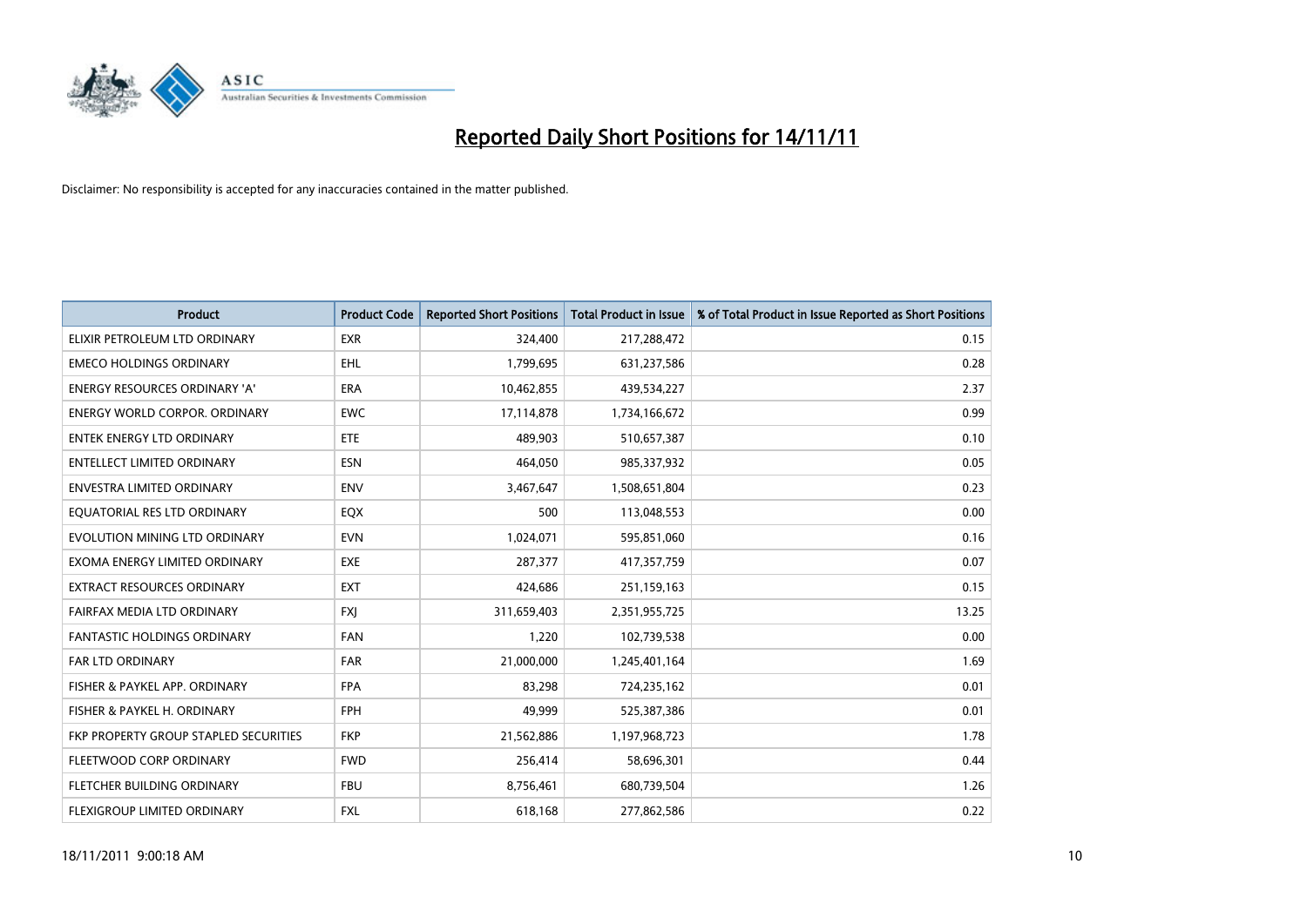

| <b>Product</b>                        | <b>Product Code</b> | <b>Reported Short Positions</b> | <b>Total Product in Issue</b> | % of Total Product in Issue Reported as Short Positions |
|---------------------------------------|---------------------|---------------------------------|-------------------------------|---------------------------------------------------------|
| ELIXIR PETROLEUM LTD ORDINARY         | <b>EXR</b>          | 324,400                         | 217,288,472                   | 0.15                                                    |
| <b>EMECO HOLDINGS ORDINARY</b>        | <b>EHL</b>          | 1,799,695                       | 631,237,586                   | 0.28                                                    |
| <b>ENERGY RESOURCES ORDINARY 'A'</b>  | <b>ERA</b>          | 10,462,855                      | 439,534,227                   | 2.37                                                    |
| ENERGY WORLD CORPOR. ORDINARY         | <b>EWC</b>          | 17,114,878                      | 1,734,166,672                 | 0.99                                                    |
| <b>ENTEK ENERGY LTD ORDINARY</b>      | <b>ETE</b>          | 489,903                         | 510,657,387                   | 0.10                                                    |
| <b>ENTELLECT LIMITED ORDINARY</b>     | <b>ESN</b>          | 464.050                         | 985,337,932                   | 0.05                                                    |
| ENVESTRA LIMITED ORDINARY             | <b>ENV</b>          | 3,467,647                       | 1,508,651,804                 | 0.23                                                    |
| EQUATORIAL RES LTD ORDINARY           | <b>EQX</b>          | 500                             | 113,048,553                   | 0.00                                                    |
| EVOLUTION MINING LTD ORDINARY         | <b>EVN</b>          | 1,024,071                       | 595,851,060                   | 0.16                                                    |
| EXOMA ENERGY LIMITED ORDINARY         | <b>EXE</b>          | 287,377                         | 417,357,759                   | 0.07                                                    |
| EXTRACT RESOURCES ORDINARY            | <b>EXT</b>          | 424,686                         | 251,159,163                   | 0.15                                                    |
| FAIRFAX MEDIA LTD ORDINARY            | <b>FXI</b>          | 311,659,403                     | 2,351,955,725                 | 13.25                                                   |
| FANTASTIC HOLDINGS ORDINARY           | <b>FAN</b>          | 1,220                           | 102,739,538                   | 0.00                                                    |
| <b>FAR LTD ORDINARY</b>               | <b>FAR</b>          | 21,000,000                      | 1,245,401,164                 | 1.69                                                    |
| FISHER & PAYKEL APP. ORDINARY         | <b>FPA</b>          | 83,298                          | 724,235,162                   | 0.01                                                    |
| FISHER & PAYKEL H. ORDINARY           | <b>FPH</b>          | 49,999                          | 525,387,386                   | 0.01                                                    |
| FKP PROPERTY GROUP STAPLED SECURITIES | <b>FKP</b>          | 21,562,886                      | 1,197,968,723                 | 1.78                                                    |
| FLEETWOOD CORP ORDINARY               | <b>FWD</b>          | 256,414                         | 58,696,301                    | 0.44                                                    |
| FLETCHER BUILDING ORDINARY            | <b>FBU</b>          | 8,756,461                       | 680,739,504                   | 1.26                                                    |
| FLEXIGROUP LIMITED ORDINARY           | <b>FXL</b>          | 618,168                         | 277,862,586                   | 0.22                                                    |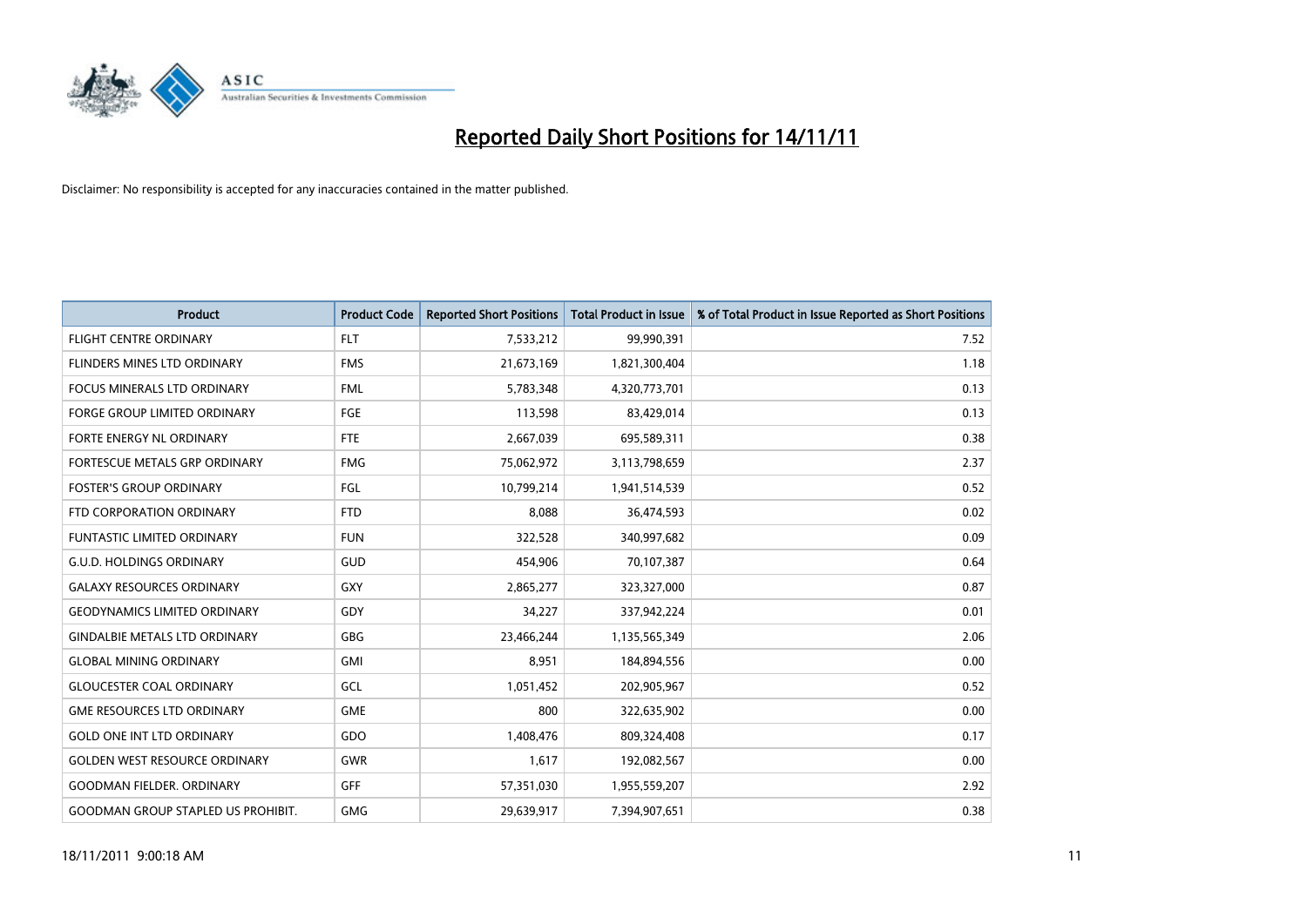

| <b>Product</b>                            | <b>Product Code</b> | <b>Reported Short Positions</b> | <b>Total Product in Issue</b> | % of Total Product in Issue Reported as Short Positions |
|-------------------------------------------|---------------------|---------------------------------|-------------------------------|---------------------------------------------------------|
| <b>FLIGHT CENTRE ORDINARY</b>             | <b>FLT</b>          | 7,533,212                       | 99,990,391                    | 7.52                                                    |
| FLINDERS MINES LTD ORDINARY               | <b>FMS</b>          | 21,673,169                      | 1,821,300,404                 | 1.18                                                    |
| <b>FOCUS MINERALS LTD ORDINARY</b>        | <b>FML</b>          | 5,783,348                       | 4,320,773,701                 | 0.13                                                    |
| FORGE GROUP LIMITED ORDINARY              | FGE                 | 113,598                         | 83,429,014                    | 0.13                                                    |
| FORTE ENERGY NL ORDINARY                  | <b>FTE</b>          | 2,667,039                       | 695,589,311                   | 0.38                                                    |
| FORTESCUE METALS GRP ORDINARY             | <b>FMG</b>          | 75,062,972                      | 3,113,798,659                 | 2.37                                                    |
| <b>FOSTER'S GROUP ORDINARY</b>            | FGL                 | 10,799,214                      | 1,941,514,539                 | 0.52                                                    |
| FTD CORPORATION ORDINARY                  | <b>FTD</b>          | 8,088                           | 36,474,593                    | 0.02                                                    |
| FUNTASTIC LIMITED ORDINARY                | <b>FUN</b>          | 322,528                         | 340,997,682                   | 0.09                                                    |
| <b>G.U.D. HOLDINGS ORDINARY</b>           | <b>GUD</b>          | 454,906                         | 70,107,387                    | 0.64                                                    |
| <b>GALAXY RESOURCES ORDINARY</b>          | GXY                 | 2,865,277                       | 323,327,000                   | 0.87                                                    |
| <b>GEODYNAMICS LIMITED ORDINARY</b>       | GDY                 | 34,227                          | 337,942,224                   | 0.01                                                    |
| <b>GINDALBIE METALS LTD ORDINARY</b>      | <b>GBG</b>          | 23,466,244                      | 1,135,565,349                 | 2.06                                                    |
| <b>GLOBAL MINING ORDINARY</b>             | GMI                 | 8,951                           | 184,894,556                   | 0.00                                                    |
| <b>GLOUCESTER COAL ORDINARY</b>           | GCL                 | 1,051,452                       | 202,905,967                   | 0.52                                                    |
| <b>GME RESOURCES LTD ORDINARY</b>         | <b>GME</b>          | 800                             | 322,635,902                   | 0.00                                                    |
| <b>GOLD ONE INT LTD ORDINARY</b>          | GDO                 | 1,408,476                       | 809,324,408                   | 0.17                                                    |
| <b>GOLDEN WEST RESOURCE ORDINARY</b>      | <b>GWR</b>          | 1,617                           | 192,082,567                   | 0.00                                                    |
| <b>GOODMAN FIELDER, ORDINARY</b>          | <b>GFF</b>          | 57,351,030                      | 1,955,559,207                 | 2.92                                                    |
| <b>GOODMAN GROUP STAPLED US PROHIBIT.</b> | <b>GMG</b>          | 29,639,917                      | 7.394.907.651                 | 0.38                                                    |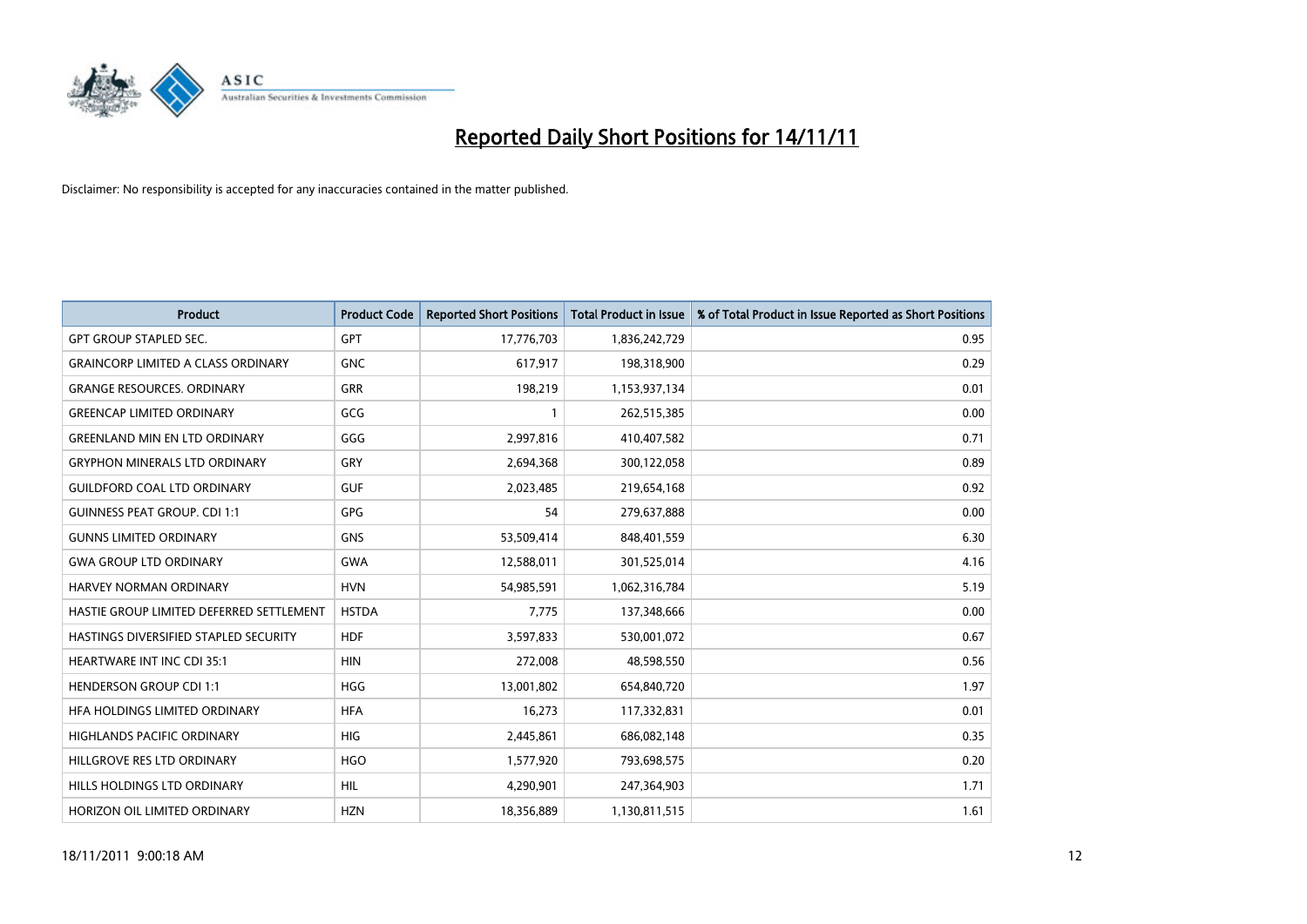

| <b>Product</b>                            | <b>Product Code</b> | <b>Reported Short Positions</b> | <b>Total Product in Issue</b> | % of Total Product in Issue Reported as Short Positions |
|-------------------------------------------|---------------------|---------------------------------|-------------------------------|---------------------------------------------------------|
| <b>GPT GROUP STAPLED SEC.</b>             | <b>GPT</b>          | 17,776,703                      | 1,836,242,729                 | 0.95                                                    |
| <b>GRAINCORP LIMITED A CLASS ORDINARY</b> | <b>GNC</b>          | 617,917                         | 198,318,900                   | 0.29                                                    |
| <b>GRANGE RESOURCES, ORDINARY</b>         | GRR                 | 198,219                         | 1,153,937,134                 | 0.01                                                    |
| <b>GREENCAP LIMITED ORDINARY</b>          | GCG                 |                                 | 262,515,385                   | 0.00                                                    |
| <b>GREENLAND MIN EN LTD ORDINARY</b>      | GGG                 | 2,997,816                       | 410,407,582                   | 0.71                                                    |
| <b>GRYPHON MINERALS LTD ORDINARY</b>      | GRY                 | 2,694,368                       | 300,122,058                   | 0.89                                                    |
| <b>GUILDFORD COAL LTD ORDINARY</b>        | <b>GUF</b>          | 2,023,485                       | 219,654,168                   | 0.92                                                    |
| <b>GUINNESS PEAT GROUP. CDI 1:1</b>       | <b>GPG</b>          | 54                              | 279,637,888                   | 0.00                                                    |
| <b>GUNNS LIMITED ORDINARY</b>             | <b>GNS</b>          | 53,509,414                      | 848,401,559                   | 6.30                                                    |
| <b>GWA GROUP LTD ORDINARY</b>             | <b>GWA</b>          | 12,588,011                      | 301,525,014                   | 4.16                                                    |
| <b>HARVEY NORMAN ORDINARY</b>             | <b>HVN</b>          | 54,985,591                      | 1,062,316,784                 | 5.19                                                    |
| HASTIE GROUP LIMITED DEFERRED SETTLEMENT  | <b>HSTDA</b>        | 7,775                           | 137,348,666                   | 0.00                                                    |
| HASTINGS DIVERSIFIED STAPLED SECURITY     | <b>HDF</b>          | 3,597,833                       | 530,001,072                   | 0.67                                                    |
| <b>HEARTWARE INT INC CDI 35:1</b>         | <b>HIN</b>          | 272,008                         | 48,598,550                    | 0.56                                                    |
| <b>HENDERSON GROUP CDI 1:1</b>            | <b>HGG</b>          | 13,001,802                      | 654,840,720                   | 1.97                                                    |
| HFA HOLDINGS LIMITED ORDINARY             | <b>HFA</b>          | 16,273                          | 117,332,831                   | 0.01                                                    |
| <b>HIGHLANDS PACIFIC ORDINARY</b>         | <b>HIG</b>          | 2,445,861                       | 686,082,148                   | 0.35                                                    |
| HILLGROVE RES LTD ORDINARY                | <b>HGO</b>          | 1,577,920                       | 793,698,575                   | 0.20                                                    |
| HILLS HOLDINGS LTD ORDINARY               | <b>HIL</b>          | 4,290,901                       | 247,364,903                   | 1.71                                                    |
| HORIZON OIL LIMITED ORDINARY              | <b>HZN</b>          | 18,356,889                      | 1,130,811,515                 | 1.61                                                    |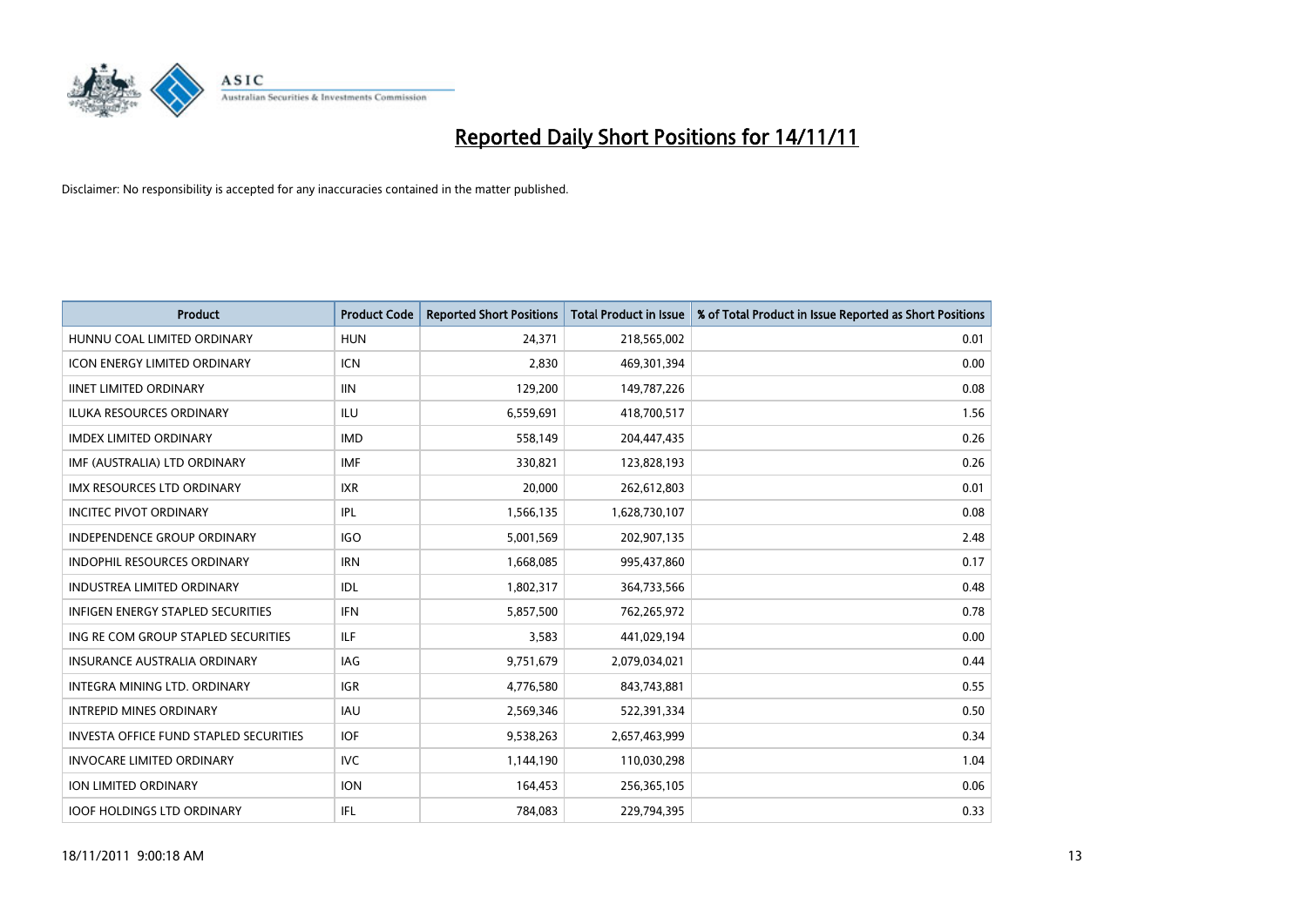

| <b>Product</b>                                | <b>Product Code</b> | <b>Reported Short Positions</b> | <b>Total Product in Issue</b> | % of Total Product in Issue Reported as Short Positions |
|-----------------------------------------------|---------------------|---------------------------------|-------------------------------|---------------------------------------------------------|
| HUNNU COAL LIMITED ORDINARY                   | <b>HUN</b>          | 24,371                          | 218,565,002                   | 0.01                                                    |
| <b>ICON ENERGY LIMITED ORDINARY</b>           | <b>ICN</b>          | 2,830                           | 469,301,394                   | 0.00                                                    |
| <b>IINET LIMITED ORDINARY</b>                 | <b>IIN</b>          | 129,200                         | 149,787,226                   | 0.08                                                    |
| ILUKA RESOURCES ORDINARY                      | ILU                 | 6,559,691                       | 418,700,517                   | 1.56                                                    |
| <b>IMDEX LIMITED ORDINARY</b>                 | <b>IMD</b>          | 558,149                         | 204,447,435                   | 0.26                                                    |
| IMF (AUSTRALIA) LTD ORDINARY                  | <b>IMF</b>          | 330,821                         | 123,828,193                   | 0.26                                                    |
| IMX RESOURCES LTD ORDINARY                    | <b>IXR</b>          | 20,000                          | 262,612,803                   | 0.01                                                    |
| <b>INCITEC PIVOT ORDINARY</b>                 | IPL                 | 1,566,135                       | 1,628,730,107                 | 0.08                                                    |
| <b>INDEPENDENCE GROUP ORDINARY</b>            | <b>IGO</b>          | 5,001,569                       | 202,907,135                   | 2.48                                                    |
| <b>INDOPHIL RESOURCES ORDINARY</b>            | <b>IRN</b>          | 1,668,085                       | 995,437,860                   | 0.17                                                    |
| <b>INDUSTREA LIMITED ORDINARY</b>             | IDL                 | 1,802,317                       | 364,733,566                   | 0.48                                                    |
| <b>INFIGEN ENERGY STAPLED SECURITIES</b>      | <b>IFN</b>          | 5,857,500                       | 762,265,972                   | 0.78                                                    |
| ING RE COM GROUP STAPLED SECURITIES           | ILF.                | 3,583                           | 441,029,194                   | 0.00                                                    |
| <b>INSURANCE AUSTRALIA ORDINARY</b>           | IAG                 | 9,751,679                       | 2,079,034,021                 | 0.44                                                    |
| <b>INTEGRA MINING LTD, ORDINARY</b>           | <b>IGR</b>          | 4,776,580                       | 843,743,881                   | 0.55                                                    |
| <b>INTREPID MINES ORDINARY</b>                | <b>IAU</b>          | 2,569,346                       | 522,391,334                   | 0.50                                                    |
| <b>INVESTA OFFICE FUND STAPLED SECURITIES</b> | <b>IOF</b>          | 9,538,263                       | 2,657,463,999                 | 0.34                                                    |
| <b>INVOCARE LIMITED ORDINARY</b>              | IVC                 | 1,144,190                       | 110,030,298                   | 1.04                                                    |
| <b>ION LIMITED ORDINARY</b>                   | <b>ION</b>          | 164,453                         | 256,365,105                   | 0.06                                                    |
| <b>IOOF HOLDINGS LTD ORDINARY</b>             | <b>IFL</b>          | 784,083                         | 229,794,395                   | 0.33                                                    |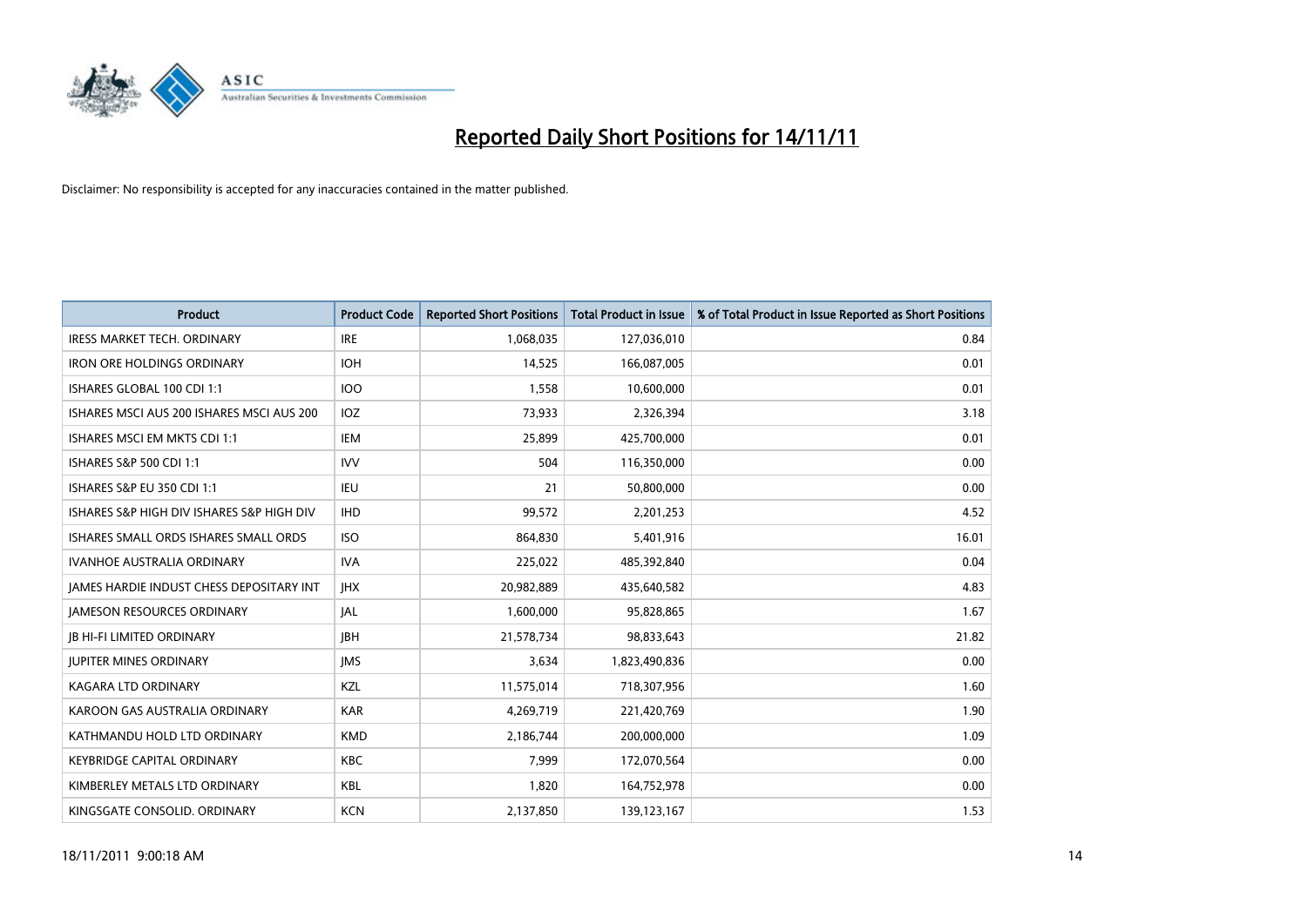

| <b>Product</b>                            | <b>Product Code</b> | <b>Reported Short Positions</b> | <b>Total Product in Issue</b> | % of Total Product in Issue Reported as Short Positions |
|-------------------------------------------|---------------------|---------------------------------|-------------------------------|---------------------------------------------------------|
| <b>IRESS MARKET TECH. ORDINARY</b>        | <b>IRE</b>          | 1,068,035                       | 127,036,010                   | 0.84                                                    |
| <b>IRON ORE HOLDINGS ORDINARY</b>         | <b>IOH</b>          | 14,525                          | 166,087,005                   | 0.01                                                    |
| ISHARES GLOBAL 100 CDI 1:1                | <b>IOO</b>          | 1,558                           | 10,600,000                    | 0.01                                                    |
| ISHARES MSCI AUS 200 ISHARES MSCI AUS 200 | <b>IOZ</b>          | 73,933                          | 2,326,394                     | 3.18                                                    |
| ISHARES MSCI EM MKTS CDI 1:1              | <b>IEM</b>          | 25,899                          | 425,700,000                   | 0.01                                                    |
| ISHARES S&P 500 CDI 1:1                   | <b>IVV</b>          | 504                             | 116,350,000                   | 0.00                                                    |
| ISHARES S&P EU 350 CDI 1:1                | IEU                 | 21                              | 50,800,000                    | 0.00                                                    |
| ISHARES S&P HIGH DIV ISHARES S&P HIGH DIV | <b>IHD</b>          | 99,572                          | 2,201,253                     | 4.52                                                    |
| ISHARES SMALL ORDS ISHARES SMALL ORDS     | <b>ISO</b>          | 864,830                         | 5,401,916                     | 16.01                                                   |
| <b>IVANHOE AUSTRALIA ORDINARY</b>         | <b>IVA</b>          | 225,022                         | 485,392,840                   | 0.04                                                    |
| IAMES HARDIE INDUST CHESS DEPOSITARY INT  | <b>IHX</b>          | 20,982,889                      | 435,640,582                   | 4.83                                                    |
| <b>JAMESON RESOURCES ORDINARY</b>         | <b>JAL</b>          | 1,600,000                       | 95,828,865                    | 1.67                                                    |
| <b>IB HI-FI LIMITED ORDINARY</b>          | <b>IBH</b>          | 21,578,734                      | 98,833,643                    | 21.82                                                   |
| <b>JUPITER MINES ORDINARY</b>             | <b>IMS</b>          | 3,634                           | 1,823,490,836                 | 0.00                                                    |
| <b>KAGARA LTD ORDINARY</b>                | KZL                 | 11,575,014                      | 718,307,956                   | 1.60                                                    |
| KAROON GAS AUSTRALIA ORDINARY             | <b>KAR</b>          | 4,269,719                       | 221,420,769                   | 1.90                                                    |
| KATHMANDU HOLD LTD ORDINARY               | <b>KMD</b>          | 2,186,744                       | 200,000,000                   | 1.09                                                    |
| <b>KEYBRIDGE CAPITAL ORDINARY</b>         | <b>KBC</b>          | 7,999                           | 172,070,564                   | 0.00                                                    |
| KIMBERLEY METALS LTD ORDINARY             | <b>KBL</b>          | 1,820                           | 164,752,978                   | 0.00                                                    |
| KINGSGATE CONSOLID. ORDINARY              | <b>KCN</b>          | 2,137,850                       | 139,123,167                   | 1.53                                                    |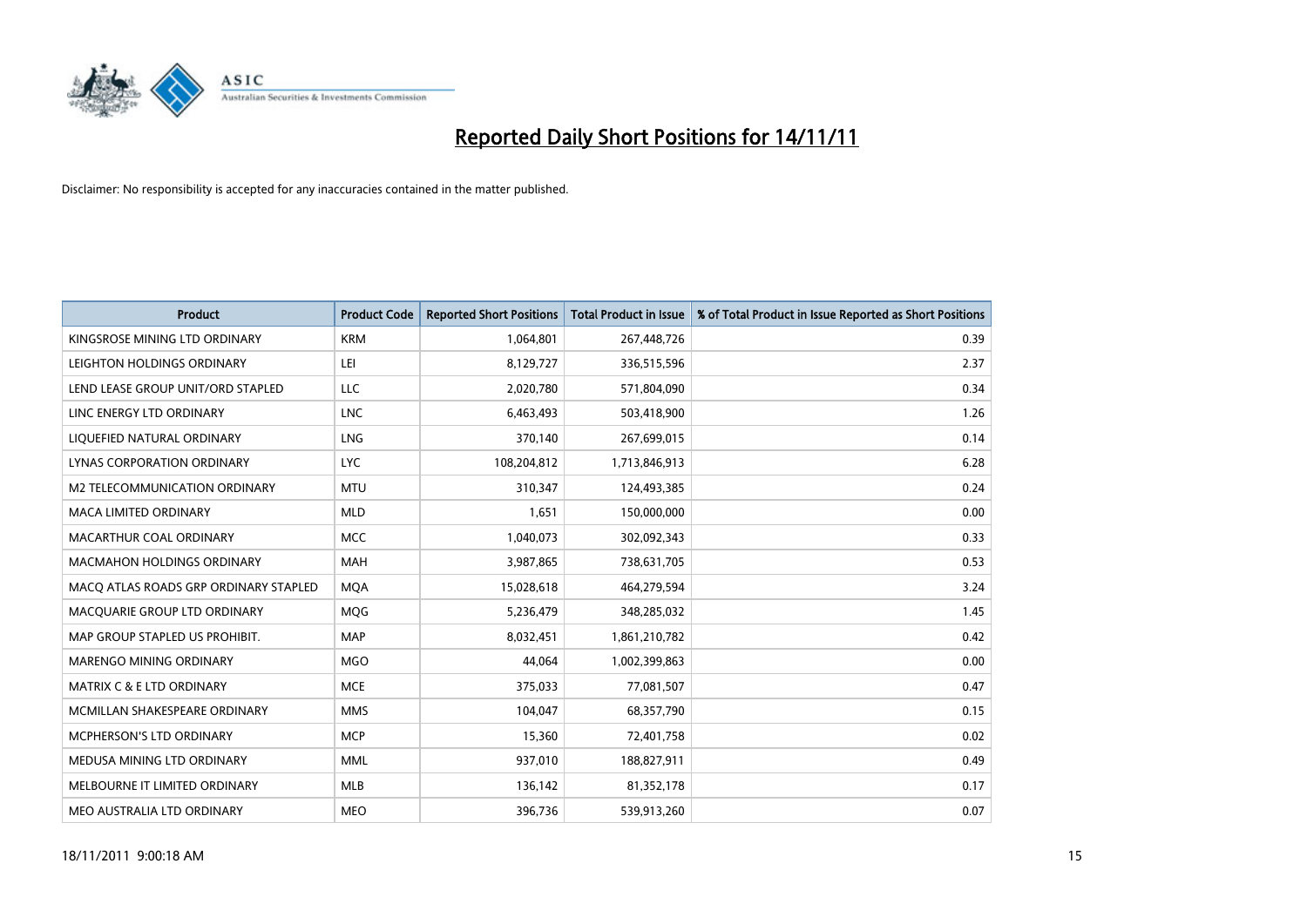

| <b>Product</b>                        | <b>Product Code</b> | <b>Reported Short Positions</b> | <b>Total Product in Issue</b> | % of Total Product in Issue Reported as Short Positions |
|---------------------------------------|---------------------|---------------------------------|-------------------------------|---------------------------------------------------------|
| KINGSROSE MINING LTD ORDINARY         | <b>KRM</b>          | 1,064,801                       | 267,448,726                   | 0.39                                                    |
| LEIGHTON HOLDINGS ORDINARY            | LEI                 | 8,129,727                       | 336,515,596                   | 2.37                                                    |
| LEND LEASE GROUP UNIT/ORD STAPLED     | LLC                 | 2,020,780                       | 571,804,090                   | 0.34                                                    |
| LINC ENERGY LTD ORDINARY              | <b>LNC</b>          | 6,463,493                       | 503,418,900                   | 1.26                                                    |
| LIQUEFIED NATURAL ORDINARY            | <b>LNG</b>          | 370,140                         | 267,699,015                   | 0.14                                                    |
| LYNAS CORPORATION ORDINARY            | <b>LYC</b>          | 108,204,812                     | 1,713,846,913                 | 6.28                                                    |
| M2 TELECOMMUNICATION ORDINARY         | <b>MTU</b>          | 310,347                         | 124,493,385                   | 0.24                                                    |
| MACA LIMITED ORDINARY                 | <b>MLD</b>          | 1,651                           | 150,000,000                   | 0.00                                                    |
| MACARTHUR COAL ORDINARY               | <b>MCC</b>          | 1,040,073                       | 302,092,343                   | 0.33                                                    |
| <b>MACMAHON HOLDINGS ORDINARY</b>     | <b>MAH</b>          | 3,987,865                       | 738,631,705                   | 0.53                                                    |
| MACQ ATLAS ROADS GRP ORDINARY STAPLED | <b>MOA</b>          | 15,028,618                      | 464,279,594                   | 3.24                                                    |
| MACQUARIE GROUP LTD ORDINARY          | MQG                 | 5,236,479                       | 348,285,032                   | 1.45                                                    |
| MAP GROUP STAPLED US PROHIBIT.        | <b>MAP</b>          | 8,032,451                       | 1,861,210,782                 | 0.42                                                    |
| <b>MARENGO MINING ORDINARY</b>        | <b>MGO</b>          | 44,064                          | 1,002,399,863                 | 0.00                                                    |
| <b>MATRIX C &amp; E LTD ORDINARY</b>  | <b>MCE</b>          | 375,033                         | 77,081,507                    | 0.47                                                    |
| MCMILLAN SHAKESPEARE ORDINARY         | <b>MMS</b>          | 104,047                         | 68,357,790                    | 0.15                                                    |
| MCPHERSON'S LTD ORDINARY              | <b>MCP</b>          | 15,360                          | 72,401,758                    | 0.02                                                    |
| MEDUSA MINING LTD ORDINARY            | <b>MML</b>          | 937,010                         | 188,827,911                   | 0.49                                                    |
| MELBOURNE IT LIMITED ORDINARY         | <b>MLB</b>          | 136,142                         | 81,352,178                    | 0.17                                                    |
| MEO AUSTRALIA LTD ORDINARY            | <b>MEO</b>          | 396,736                         | 539,913,260                   | 0.07                                                    |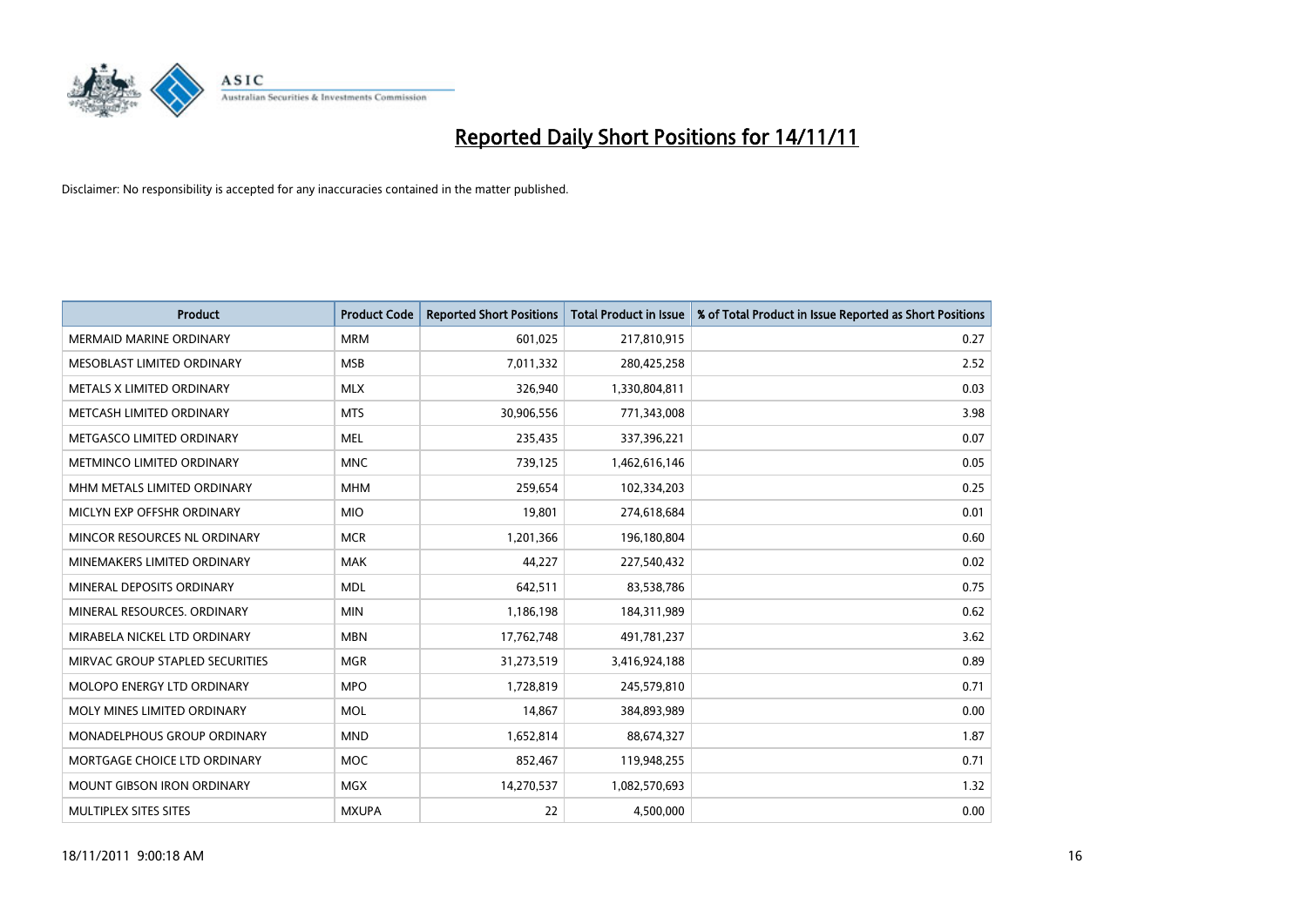

| <b>Product</b>                    | <b>Product Code</b> | <b>Reported Short Positions</b> | <b>Total Product in Issue</b> | % of Total Product in Issue Reported as Short Positions |
|-----------------------------------|---------------------|---------------------------------|-------------------------------|---------------------------------------------------------|
| <b>MERMAID MARINE ORDINARY</b>    | <b>MRM</b>          | 601,025                         | 217,810,915                   | 0.27                                                    |
| MESOBLAST LIMITED ORDINARY        | <b>MSB</b>          | 7,011,332                       | 280,425,258                   | 2.52                                                    |
| METALS X LIMITED ORDINARY         | <b>MLX</b>          | 326,940                         | 1,330,804,811                 | 0.03                                                    |
| METCASH LIMITED ORDINARY          | <b>MTS</b>          | 30,906,556                      | 771,343,008                   | 3.98                                                    |
| METGASCO LIMITED ORDINARY         | <b>MEL</b>          | 235,435                         | 337,396,221                   | 0.07                                                    |
| METMINCO LIMITED ORDINARY         | <b>MNC</b>          | 739,125                         | 1,462,616,146                 | 0.05                                                    |
| MHM METALS LIMITED ORDINARY       | <b>MHM</b>          | 259,654                         | 102,334,203                   | 0.25                                                    |
| MICLYN EXP OFFSHR ORDINARY        | <b>MIO</b>          | 19,801                          | 274,618,684                   | 0.01                                                    |
| MINCOR RESOURCES NL ORDINARY      | <b>MCR</b>          | 1,201,366                       | 196,180,804                   | 0.60                                                    |
| MINEMAKERS LIMITED ORDINARY       | <b>MAK</b>          | 44,227                          | 227,540,432                   | 0.02                                                    |
| MINERAL DEPOSITS ORDINARY         | <b>MDL</b>          | 642,511                         | 83,538,786                    | 0.75                                                    |
| MINERAL RESOURCES, ORDINARY       | <b>MIN</b>          | 1,186,198                       | 184,311,989                   | 0.62                                                    |
| MIRABELA NICKEL LTD ORDINARY      | <b>MBN</b>          | 17,762,748                      | 491,781,237                   | 3.62                                                    |
| MIRVAC GROUP STAPLED SECURITIES   | <b>MGR</b>          | 31,273,519                      | 3,416,924,188                 | 0.89                                                    |
| <b>MOLOPO ENERGY LTD ORDINARY</b> | <b>MPO</b>          | 1,728,819                       | 245,579,810                   | 0.71                                                    |
| MOLY MINES LIMITED ORDINARY       | <b>MOL</b>          | 14,867                          | 384,893,989                   | 0.00                                                    |
| MONADELPHOUS GROUP ORDINARY       | <b>MND</b>          | 1,652,814                       | 88,674,327                    | 1.87                                                    |
| MORTGAGE CHOICE LTD ORDINARY      | <b>MOC</b>          | 852,467                         | 119,948,255                   | 0.71                                                    |
| <b>MOUNT GIBSON IRON ORDINARY</b> | <b>MGX</b>          | 14,270,537                      | 1,082,570,693                 | 1.32                                                    |
| MULTIPLEX SITES SITES             | <b>MXUPA</b>        | 22                              | 4,500,000                     | 0.00                                                    |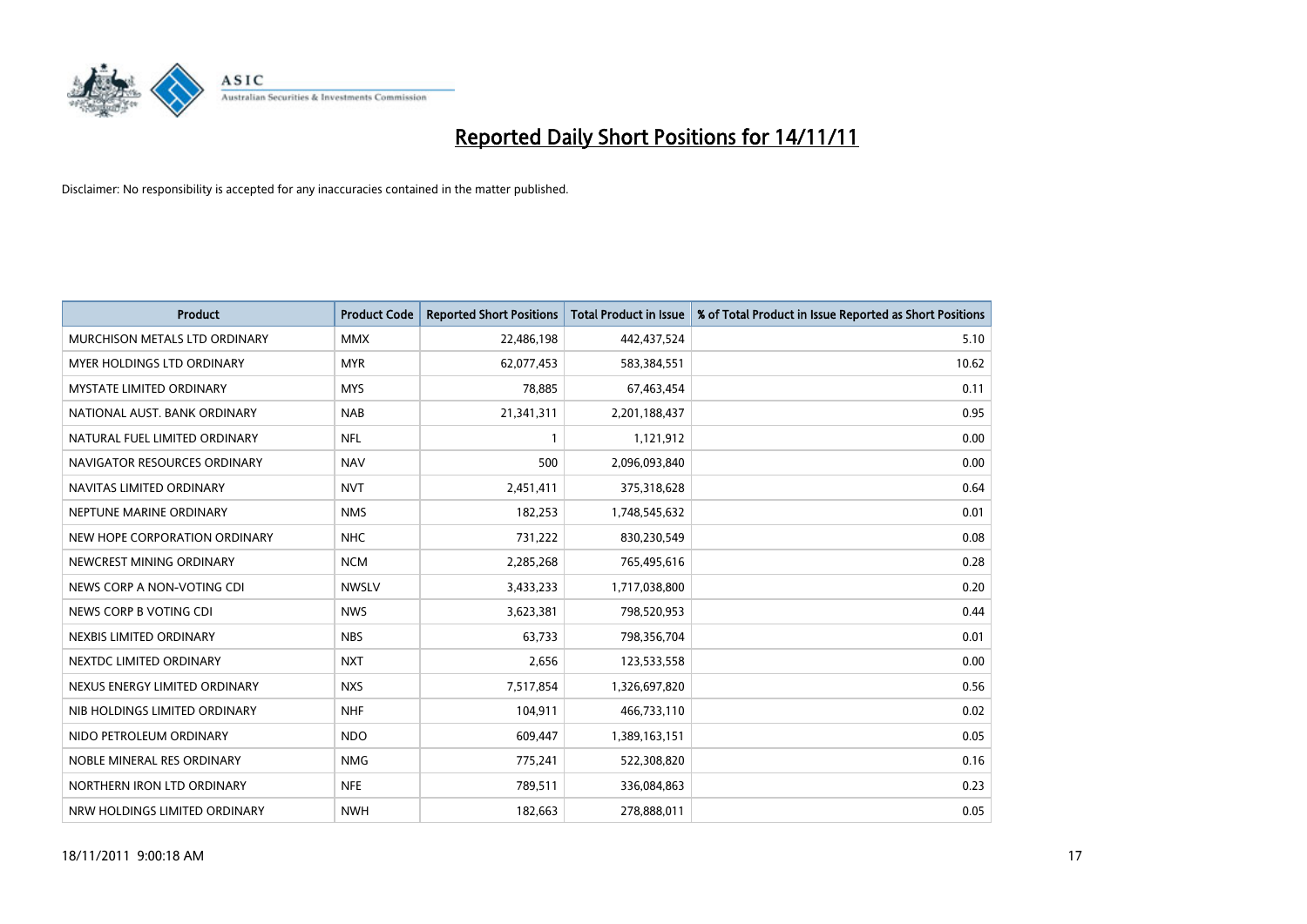

| <b>Product</b>                       | <b>Product Code</b> | <b>Reported Short Positions</b> | <b>Total Product in Issue</b> | % of Total Product in Issue Reported as Short Positions |
|--------------------------------------|---------------------|---------------------------------|-------------------------------|---------------------------------------------------------|
| <b>MURCHISON METALS LTD ORDINARY</b> | <b>MMX</b>          | 22,486,198                      | 442,437,524                   | 5.10                                                    |
| MYER HOLDINGS LTD ORDINARY           | <b>MYR</b>          | 62,077,453                      | 583,384,551                   | 10.62                                                   |
| <b>MYSTATE LIMITED ORDINARY</b>      | <b>MYS</b>          | 78,885                          | 67,463,454                    | 0.11                                                    |
| NATIONAL AUST. BANK ORDINARY         | <b>NAB</b>          | 21,341,311                      | 2,201,188,437                 | 0.95                                                    |
| NATURAL FUEL LIMITED ORDINARY        | <b>NFL</b>          |                                 | 1,121,912                     | 0.00                                                    |
| NAVIGATOR RESOURCES ORDINARY         | <b>NAV</b>          | 500                             | 2,096,093,840                 | 0.00                                                    |
| NAVITAS LIMITED ORDINARY             | <b>NVT</b>          | 2,451,411                       | 375,318,628                   | 0.64                                                    |
| NEPTUNE MARINE ORDINARY              | <b>NMS</b>          | 182,253                         | 1,748,545,632                 | 0.01                                                    |
| NEW HOPE CORPORATION ORDINARY        | <b>NHC</b>          | 731,222                         | 830,230,549                   | 0.08                                                    |
| NEWCREST MINING ORDINARY             | <b>NCM</b>          | 2,285,268                       | 765,495,616                   | 0.28                                                    |
| NEWS CORP A NON-VOTING CDI           | <b>NWSLV</b>        | 3,433,233                       | 1,717,038,800                 | 0.20                                                    |
| NEWS CORP B VOTING CDI               | <b>NWS</b>          | 3,623,381                       | 798,520,953                   | 0.44                                                    |
| NEXBIS LIMITED ORDINARY              | <b>NBS</b>          | 63,733                          | 798,356,704                   | 0.01                                                    |
| NEXTDC LIMITED ORDINARY              | <b>NXT</b>          | 2,656                           | 123,533,558                   | 0.00                                                    |
| NEXUS ENERGY LIMITED ORDINARY        | <b>NXS</b>          | 7,517,854                       | 1,326,697,820                 | 0.56                                                    |
| NIB HOLDINGS LIMITED ORDINARY        | <b>NHF</b>          | 104,911                         | 466,733,110                   | 0.02                                                    |
| NIDO PETROLEUM ORDINARY              | <b>NDO</b>          | 609,447                         | 1,389,163,151                 | 0.05                                                    |
| NOBLE MINERAL RES ORDINARY           | <b>NMG</b>          | 775,241                         | 522,308,820                   | 0.16                                                    |
| NORTHERN IRON LTD ORDINARY           | <b>NFE</b>          | 789,511                         | 336,084,863                   | 0.23                                                    |
| NRW HOLDINGS LIMITED ORDINARY        | <b>NWH</b>          | 182,663                         | 278,888,011                   | 0.05                                                    |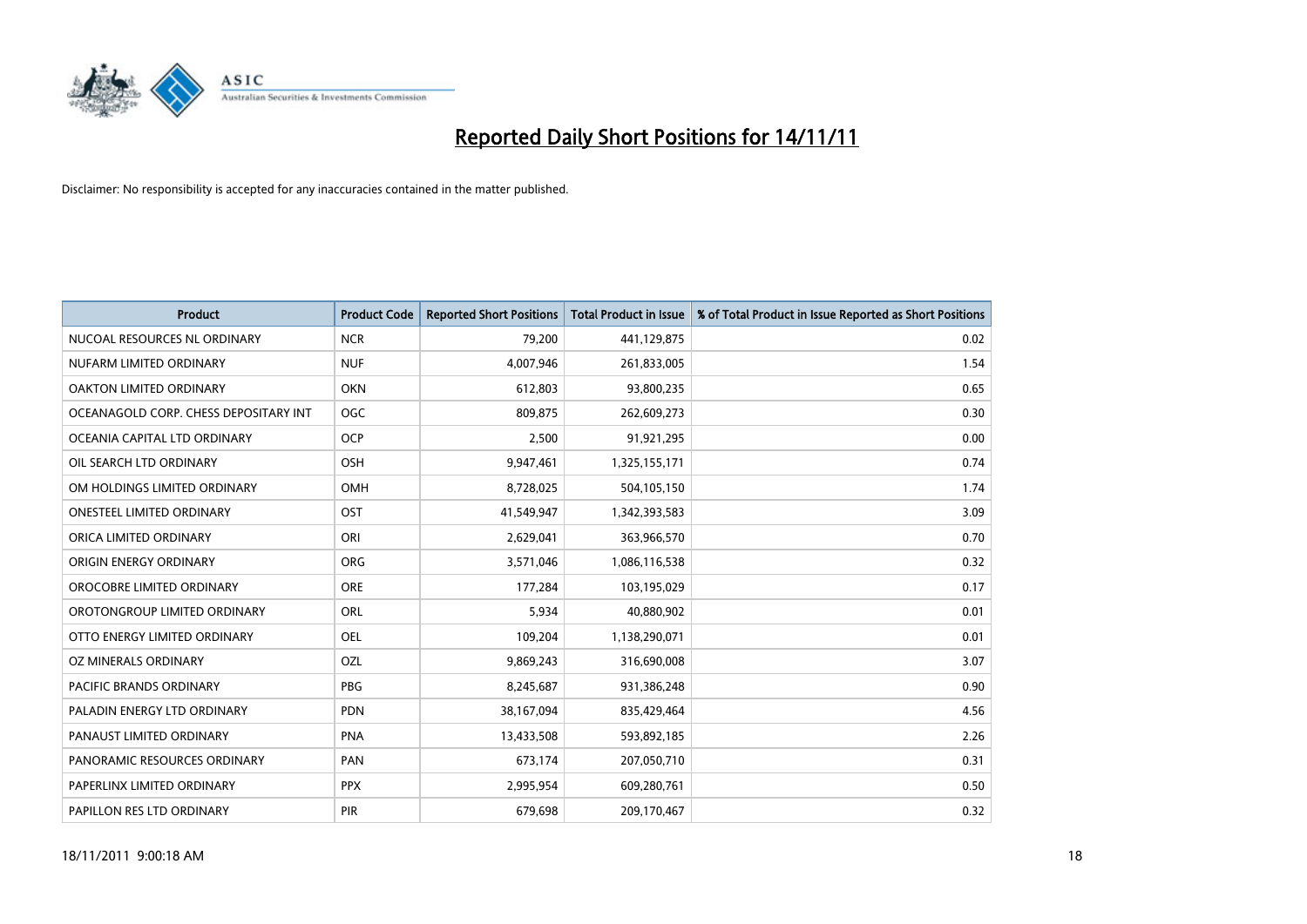

| <b>Product</b>                        | <b>Product Code</b> | <b>Reported Short Positions</b> | <b>Total Product in Issue</b> | % of Total Product in Issue Reported as Short Positions |
|---------------------------------------|---------------------|---------------------------------|-------------------------------|---------------------------------------------------------|
| NUCOAL RESOURCES NL ORDINARY          | <b>NCR</b>          | 79,200                          | 441,129,875                   | 0.02                                                    |
| NUFARM LIMITED ORDINARY               | <b>NUF</b>          | 4,007,946                       | 261,833,005                   | 1.54                                                    |
| OAKTON LIMITED ORDINARY               | <b>OKN</b>          | 612,803                         | 93,800,235                    | 0.65                                                    |
| OCEANAGOLD CORP. CHESS DEPOSITARY INT | <b>OGC</b>          | 809.875                         | 262,609,273                   | 0.30                                                    |
| OCEANIA CAPITAL LTD ORDINARY          | <b>OCP</b>          | 2,500                           | 91,921,295                    | 0.00                                                    |
| OIL SEARCH LTD ORDINARY               | OSH                 | 9,947,461                       | 1,325,155,171                 | 0.74                                                    |
| OM HOLDINGS LIMITED ORDINARY          | OMH                 | 8,728,025                       | 504,105,150                   | 1.74                                                    |
| <b>ONESTEEL LIMITED ORDINARY</b>      | OST                 | 41,549,947                      | 1,342,393,583                 | 3.09                                                    |
| ORICA LIMITED ORDINARY                | ORI                 | 2,629,041                       | 363,966,570                   | 0.70                                                    |
| ORIGIN ENERGY ORDINARY                | <b>ORG</b>          | 3,571,046                       | 1,086,116,538                 | 0.32                                                    |
| OROCOBRE LIMITED ORDINARY             | <b>ORE</b>          | 177,284                         | 103,195,029                   | 0.17                                                    |
| OROTONGROUP LIMITED ORDINARY          | <b>ORL</b>          | 5,934                           | 40,880,902                    | 0.01                                                    |
| OTTO ENERGY LIMITED ORDINARY          | <b>OEL</b>          | 109,204                         | 1,138,290,071                 | 0.01                                                    |
| OZ MINERALS ORDINARY                  | OZL                 | 9,869,243                       | 316,690,008                   | 3.07                                                    |
| <b>PACIFIC BRANDS ORDINARY</b>        | <b>PBG</b>          | 8,245,687                       | 931,386,248                   | 0.90                                                    |
| PALADIN ENERGY LTD ORDINARY           | <b>PDN</b>          | 38,167,094                      | 835,429,464                   | 4.56                                                    |
| PANAUST LIMITED ORDINARY              | <b>PNA</b>          | 13,433,508                      | 593,892,185                   | 2.26                                                    |
| PANORAMIC RESOURCES ORDINARY          | PAN                 | 673,174                         | 207,050,710                   | 0.31                                                    |
| PAPERLINX LIMITED ORDINARY            | <b>PPX</b>          | 2,995,954                       | 609,280,761                   | 0.50                                                    |
| PAPILLON RES LTD ORDINARY             | <b>PIR</b>          | 679,698                         | 209,170,467                   | 0.32                                                    |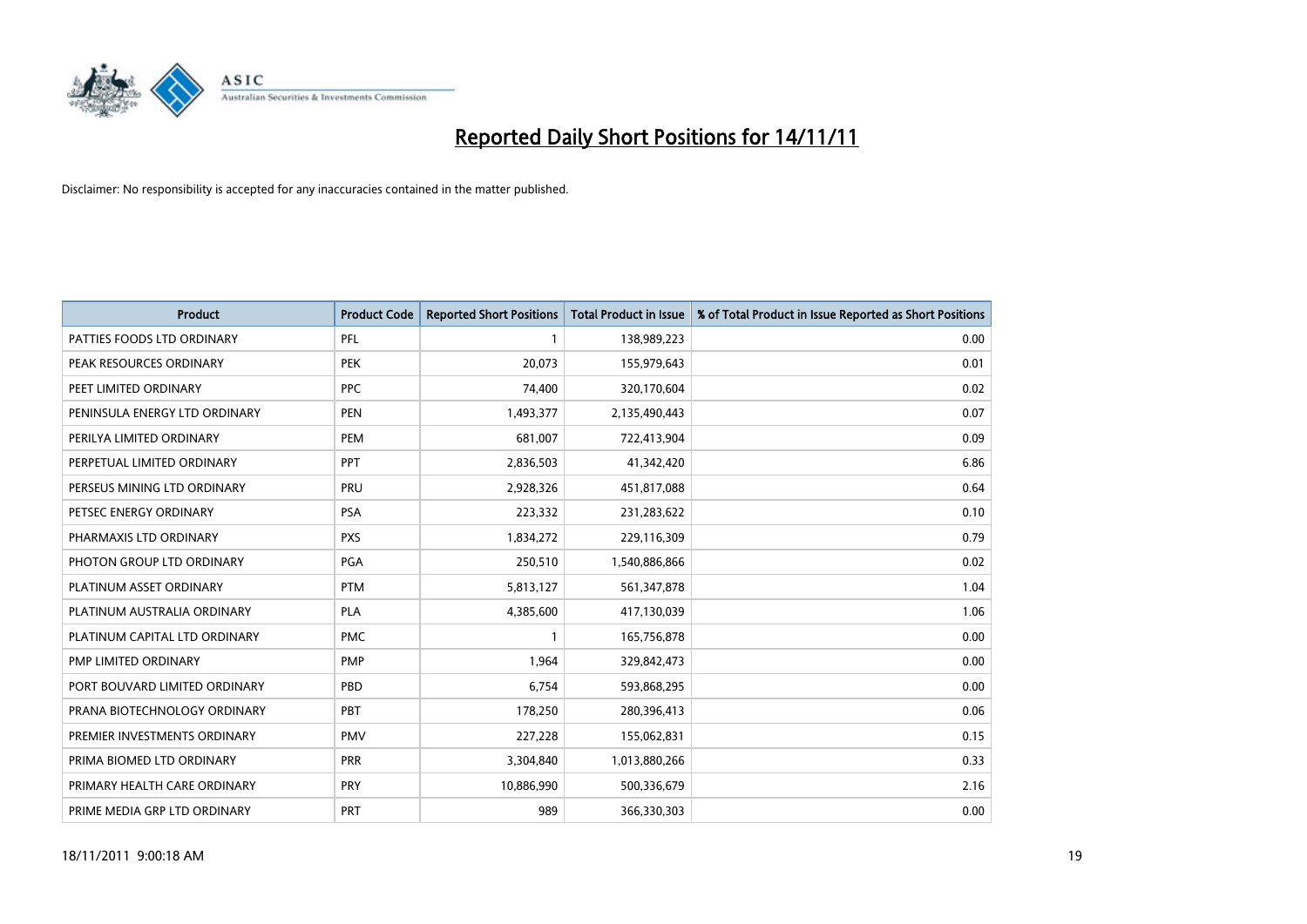

| <b>Product</b>                | <b>Product Code</b> | <b>Reported Short Positions</b> | Total Product in Issue | % of Total Product in Issue Reported as Short Positions |
|-------------------------------|---------------------|---------------------------------|------------------------|---------------------------------------------------------|
| PATTIES FOODS LTD ORDINARY    | PFL                 |                                 | 138,989,223            | 0.00                                                    |
| PEAK RESOURCES ORDINARY       | <b>PEK</b>          | 20,073                          | 155,979,643            | 0.01                                                    |
| PEET LIMITED ORDINARY         | <b>PPC</b>          | 74.400                          | 320,170,604            | 0.02                                                    |
| PENINSULA ENERGY LTD ORDINARY | <b>PEN</b>          | 1,493,377                       | 2,135,490,443          | 0.07                                                    |
| PERILYA LIMITED ORDINARY      | PEM                 | 681,007                         | 722,413,904            | 0.09                                                    |
| PERPETUAL LIMITED ORDINARY    | PPT                 | 2,836,503                       | 41,342,420             | 6.86                                                    |
| PERSEUS MINING LTD ORDINARY   | PRU                 | 2,928,326                       | 451,817,088            | 0.64                                                    |
| PETSEC ENERGY ORDINARY        | <b>PSA</b>          | 223,332                         | 231,283,622            | 0.10                                                    |
| PHARMAXIS LTD ORDINARY        | <b>PXS</b>          | 1,834,272                       | 229,116,309            | 0.79                                                    |
| PHOTON GROUP LTD ORDINARY     | <b>PGA</b>          | 250,510                         | 1,540,886,866          | 0.02                                                    |
| PLATINUM ASSET ORDINARY       | <b>PTM</b>          | 5,813,127                       | 561,347,878            | 1.04                                                    |
| PLATINUM AUSTRALIA ORDINARY   | <b>PLA</b>          | 4,385,600                       | 417,130,039            | 1.06                                                    |
| PLATINUM CAPITAL LTD ORDINARY | <b>PMC</b>          |                                 | 165,756,878            | 0.00                                                    |
| PMP LIMITED ORDINARY          | <b>PMP</b>          | 1,964                           | 329,842,473            | 0.00                                                    |
| PORT BOUVARD LIMITED ORDINARY | PBD                 | 6,754                           | 593,868,295            | 0.00                                                    |
| PRANA BIOTECHNOLOGY ORDINARY  | PBT                 | 178,250                         | 280,396,413            | 0.06                                                    |
| PREMIER INVESTMENTS ORDINARY  | <b>PMV</b>          | 227,228                         | 155,062,831            | 0.15                                                    |
| PRIMA BIOMED LTD ORDINARY     | <b>PRR</b>          | 3,304,840                       | 1,013,880,266          | 0.33                                                    |
| PRIMARY HEALTH CARE ORDINARY  | <b>PRY</b>          | 10,886,990                      | 500,336,679            | 2.16                                                    |
| PRIME MEDIA GRP LTD ORDINARY  | PRT                 | 989                             | 366,330,303            | 0.00                                                    |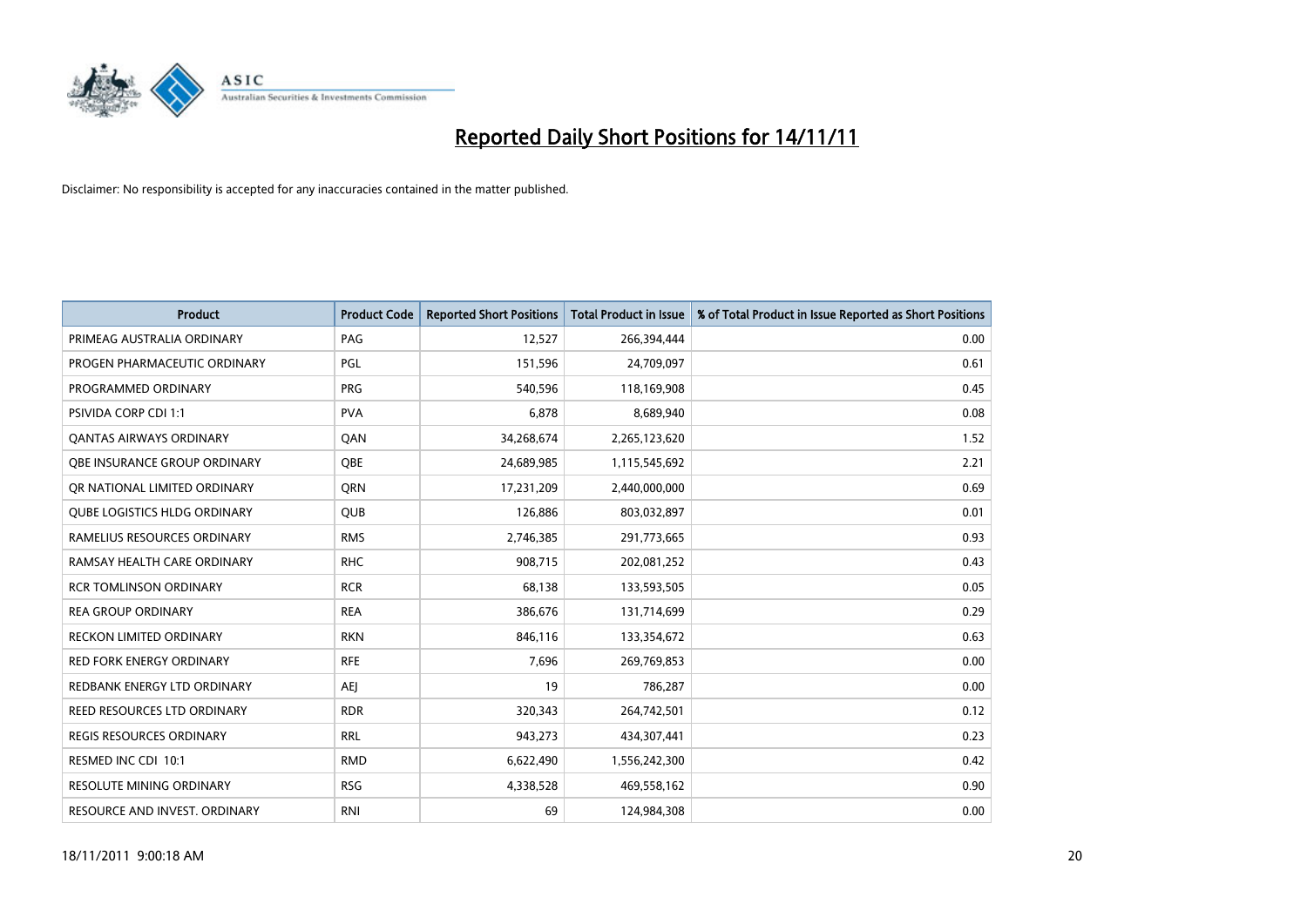

| <b>Product</b>                      | <b>Product Code</b> | <b>Reported Short Positions</b> | <b>Total Product in Issue</b> | % of Total Product in Issue Reported as Short Positions |
|-------------------------------------|---------------------|---------------------------------|-------------------------------|---------------------------------------------------------|
| PRIMEAG AUSTRALIA ORDINARY          | PAG                 | 12,527                          | 266,394,444                   | 0.00                                                    |
| PROGEN PHARMACEUTIC ORDINARY        | PGL                 | 151,596                         | 24,709,097                    | 0.61                                                    |
| PROGRAMMED ORDINARY                 | <b>PRG</b>          | 540,596                         | 118,169,908                   | 0.45                                                    |
| PSIVIDA CORP CDI 1:1                | <b>PVA</b>          | 6,878                           | 8,689,940                     | 0.08                                                    |
| <b>QANTAS AIRWAYS ORDINARY</b>      | QAN                 | 34,268,674                      | 2,265,123,620                 | 1.52                                                    |
| <b>OBE INSURANCE GROUP ORDINARY</b> | <b>OBE</b>          | 24,689,985                      | 1,115,545,692                 | 2.21                                                    |
| OR NATIONAL LIMITED ORDINARY        | <b>ORN</b>          | 17,231,209                      | 2,440,000,000                 | 0.69                                                    |
| <b>QUBE LOGISTICS HLDG ORDINARY</b> | <b>QUB</b>          | 126,886                         | 803,032,897                   | 0.01                                                    |
| RAMELIUS RESOURCES ORDINARY         | <b>RMS</b>          | 2,746,385                       | 291,773,665                   | 0.93                                                    |
| RAMSAY HEALTH CARE ORDINARY         | <b>RHC</b>          | 908,715                         | 202,081,252                   | 0.43                                                    |
| <b>RCR TOMLINSON ORDINARY</b>       | <b>RCR</b>          | 68,138                          | 133,593,505                   | 0.05                                                    |
| <b>REA GROUP ORDINARY</b>           | <b>REA</b>          | 386,676                         | 131,714,699                   | 0.29                                                    |
| RECKON LIMITED ORDINARY             | <b>RKN</b>          | 846,116                         | 133,354,672                   | 0.63                                                    |
| <b>RED FORK ENERGY ORDINARY</b>     | <b>RFE</b>          | 7,696                           | 269,769,853                   | 0.00                                                    |
| REDBANK ENERGY LTD ORDINARY         | <b>AEI</b>          | 19                              | 786,287                       | 0.00                                                    |
| REED RESOURCES LTD ORDINARY         | <b>RDR</b>          | 320,343                         | 264,742,501                   | 0.12                                                    |
| <b>REGIS RESOURCES ORDINARY</b>     | <b>RRL</b>          | 943,273                         | 434,307,441                   | 0.23                                                    |
| RESMED INC CDI 10:1                 | <b>RMD</b>          | 6,622,490                       | 1,556,242,300                 | 0.42                                                    |
| <b>RESOLUTE MINING ORDINARY</b>     | <b>RSG</b>          | 4,338,528                       | 469,558,162                   | 0.90                                                    |
| RESOURCE AND INVEST. ORDINARY       | <b>RNI</b>          | 69                              | 124,984,308                   | 0.00                                                    |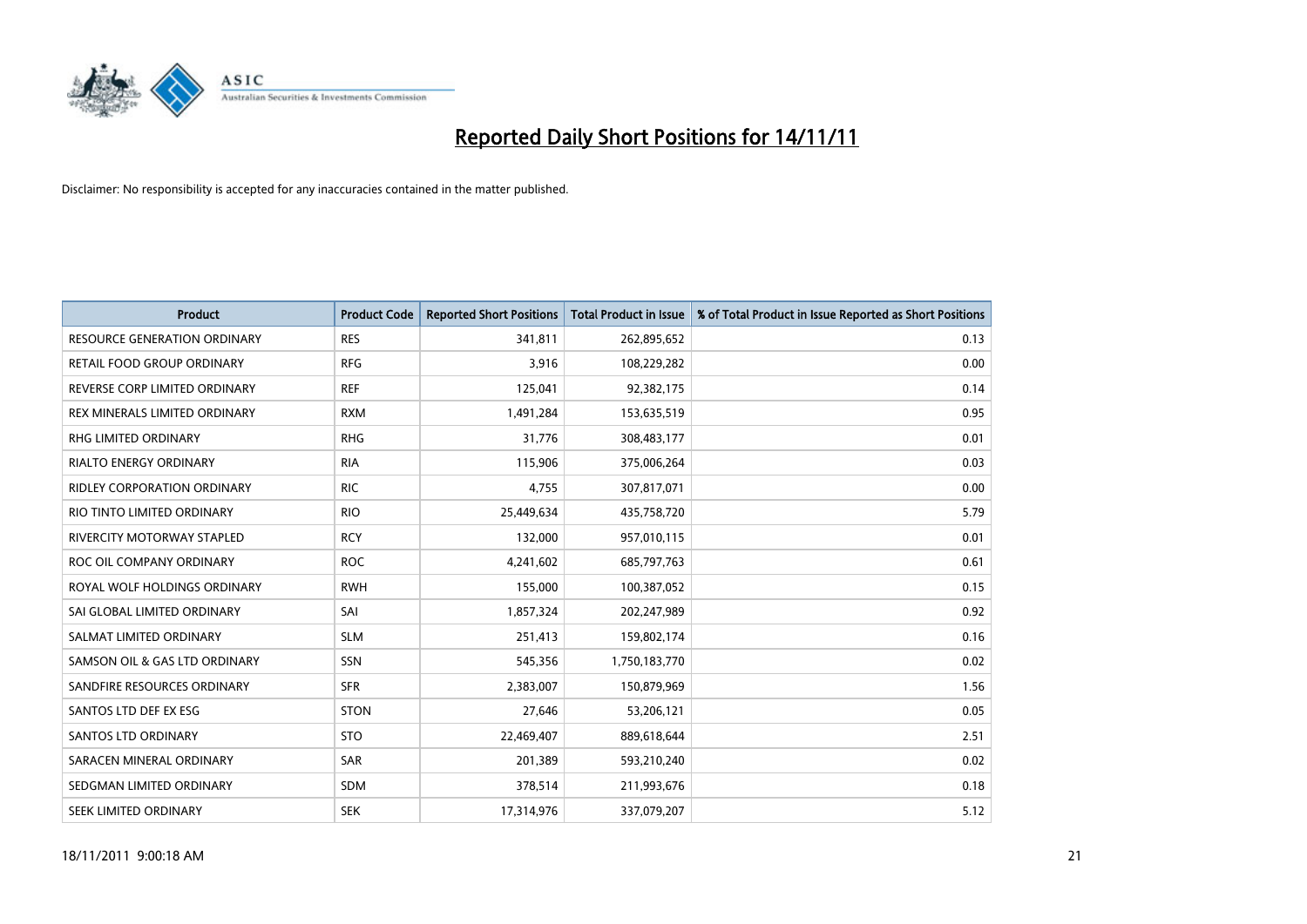

| <b>Product</b>                      | <b>Product Code</b> | <b>Reported Short Positions</b> | <b>Total Product in Issue</b> | % of Total Product in Issue Reported as Short Positions |
|-------------------------------------|---------------------|---------------------------------|-------------------------------|---------------------------------------------------------|
| <b>RESOURCE GENERATION ORDINARY</b> | <b>RES</b>          | 341,811                         | 262,895,652                   | 0.13                                                    |
| RETAIL FOOD GROUP ORDINARY          | <b>RFG</b>          | 3,916                           | 108,229,282                   | 0.00                                                    |
| REVERSE CORP LIMITED ORDINARY       | <b>REF</b>          | 125,041                         | 92,382,175                    | 0.14                                                    |
| REX MINERALS LIMITED ORDINARY       | <b>RXM</b>          | 1,491,284                       | 153,635,519                   | 0.95                                                    |
| <b>RHG LIMITED ORDINARY</b>         | <b>RHG</b>          | 31,776                          | 308,483,177                   | 0.01                                                    |
| <b>RIALTO ENERGY ORDINARY</b>       | <b>RIA</b>          | 115,906                         | 375,006,264                   | 0.03                                                    |
| <b>RIDLEY CORPORATION ORDINARY</b>  | <b>RIC</b>          | 4,755                           | 307,817,071                   | 0.00                                                    |
| RIO TINTO LIMITED ORDINARY          | <b>RIO</b>          | 25,449,634                      | 435,758,720                   | 5.79                                                    |
| <b>RIVERCITY MOTORWAY STAPLED</b>   | <b>RCY</b>          | 132,000                         | 957,010,115                   | 0.01                                                    |
| ROC OIL COMPANY ORDINARY            | <b>ROC</b>          | 4,241,602                       | 685,797,763                   | 0.61                                                    |
| ROYAL WOLF HOLDINGS ORDINARY        | <b>RWH</b>          | 155,000                         | 100,387,052                   | 0.15                                                    |
| SAI GLOBAL LIMITED ORDINARY         | SAI                 | 1,857,324                       | 202,247,989                   | 0.92                                                    |
| SALMAT LIMITED ORDINARY             | <b>SLM</b>          | 251,413                         | 159,802,174                   | 0.16                                                    |
| SAMSON OIL & GAS LTD ORDINARY       | SSN                 | 545,356                         | 1,750,183,770                 | 0.02                                                    |
| SANDFIRE RESOURCES ORDINARY         | <b>SFR</b>          | 2,383,007                       | 150,879,969                   | 1.56                                                    |
| SANTOS LTD DEF EX ESG               | <b>STON</b>         | 27,646                          | 53,206,121                    | 0.05                                                    |
| <b>SANTOS LTD ORDINARY</b>          | <b>STO</b>          | 22,469,407                      | 889,618,644                   | 2.51                                                    |
| SARACEN MINERAL ORDINARY            | <b>SAR</b>          | 201,389                         | 593,210,240                   | 0.02                                                    |
| SEDGMAN LIMITED ORDINARY            | <b>SDM</b>          | 378,514                         | 211,993,676                   | 0.18                                                    |
| SEEK LIMITED ORDINARY               | <b>SEK</b>          | 17,314,976                      | 337,079,207                   | 5.12                                                    |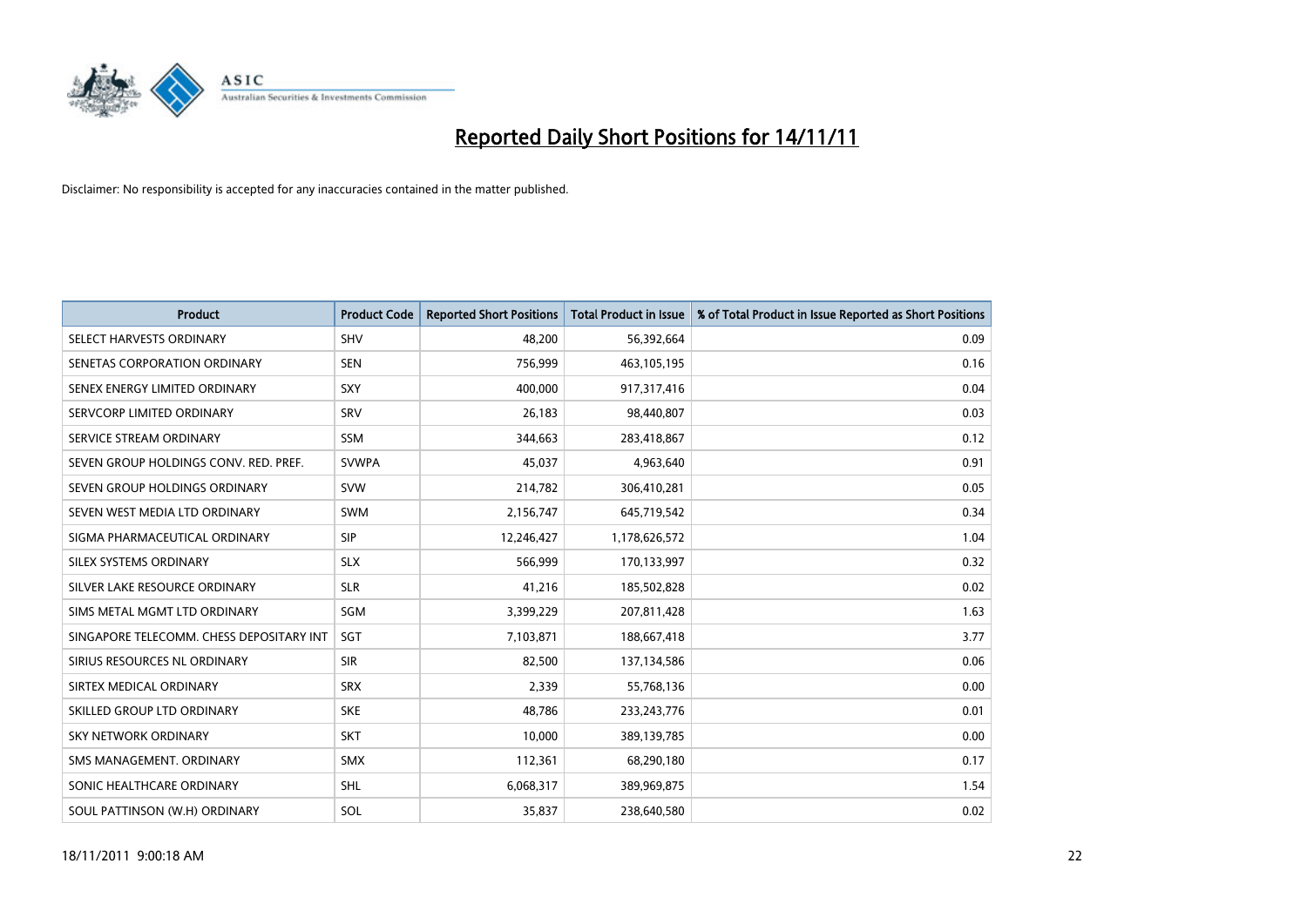

| Product                                  | <b>Product Code</b> | <b>Reported Short Positions</b> | <b>Total Product in Issue</b> | % of Total Product in Issue Reported as Short Positions |
|------------------------------------------|---------------------|---------------------------------|-------------------------------|---------------------------------------------------------|
| SELECT HARVESTS ORDINARY                 | <b>SHV</b>          | 48.200                          | 56,392,664                    | 0.09                                                    |
| SENETAS CORPORATION ORDINARY             | <b>SEN</b>          | 756,999                         | 463,105,195                   | 0.16                                                    |
| SENEX ENERGY LIMITED ORDINARY            | SXY                 | 400.000                         | 917,317,416                   | 0.04                                                    |
| SERVCORP LIMITED ORDINARY                | SRV                 | 26,183                          | 98,440,807                    | 0.03                                                    |
| SERVICE STREAM ORDINARY                  | <b>SSM</b>          | 344,663                         | 283,418,867                   | 0.12                                                    |
| SEVEN GROUP HOLDINGS CONV. RED. PREF.    | <b>SVWPA</b>        | 45,037                          | 4,963,640                     | 0.91                                                    |
| SEVEN GROUP HOLDINGS ORDINARY            | <b>SVW</b>          | 214,782                         | 306,410,281                   | 0.05                                                    |
| SEVEN WEST MEDIA LTD ORDINARY            | <b>SWM</b>          | 2,156,747                       | 645,719,542                   | 0.34                                                    |
| SIGMA PHARMACEUTICAL ORDINARY            | <b>SIP</b>          | 12,246,427                      | 1,178,626,572                 | 1.04                                                    |
| SILEX SYSTEMS ORDINARY                   | <b>SLX</b>          | 566,999                         | 170,133,997                   | 0.32                                                    |
| SILVER LAKE RESOURCE ORDINARY            | <b>SLR</b>          | 41,216                          | 185,502,828                   | 0.02                                                    |
| SIMS METAL MGMT LTD ORDINARY             | SGM                 | 3,399,229                       | 207,811,428                   | 1.63                                                    |
| SINGAPORE TELECOMM. CHESS DEPOSITARY INT | SGT                 | 7,103,871                       | 188,667,418                   | 3.77                                                    |
| SIRIUS RESOURCES NL ORDINARY             | <b>SIR</b>          | 82,500                          | 137,134,586                   | 0.06                                                    |
| SIRTEX MEDICAL ORDINARY                  | <b>SRX</b>          | 2.339                           | 55,768,136                    | 0.00                                                    |
| SKILLED GROUP LTD ORDINARY               | <b>SKE</b>          | 48,786                          | 233, 243, 776                 | 0.01                                                    |
| SKY NETWORK ORDINARY                     | <b>SKT</b>          | 10,000                          | 389,139,785                   | 0.00                                                    |
| SMS MANAGEMENT. ORDINARY                 | <b>SMX</b>          | 112,361                         | 68,290,180                    | 0.17                                                    |
| SONIC HEALTHCARE ORDINARY                | <b>SHL</b>          | 6,068,317                       | 389,969,875                   | 1.54                                                    |
| SOUL PATTINSON (W.H) ORDINARY            | SOL                 | 35,837                          | 238,640,580                   | 0.02                                                    |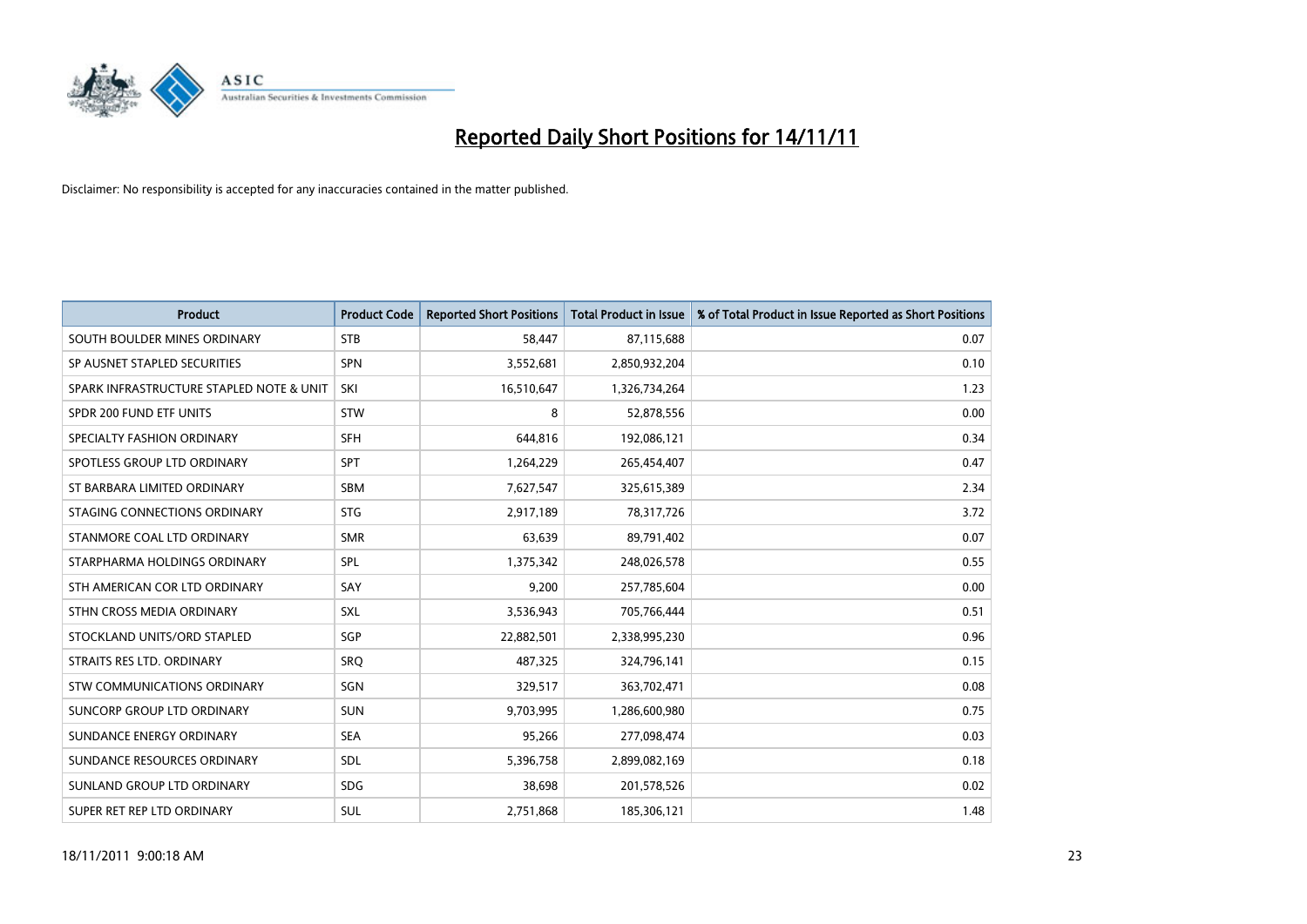

| <b>Product</b>                           | <b>Product Code</b> | <b>Reported Short Positions</b> | <b>Total Product in Issue</b> | % of Total Product in Issue Reported as Short Positions |
|------------------------------------------|---------------------|---------------------------------|-------------------------------|---------------------------------------------------------|
| SOUTH BOULDER MINES ORDINARY             | <b>STB</b>          | 58,447                          | 87,115,688                    | 0.07                                                    |
| SP AUSNET STAPLED SECURITIES             | <b>SPN</b>          | 3,552,681                       | 2,850,932,204                 | 0.10                                                    |
| SPARK INFRASTRUCTURE STAPLED NOTE & UNIT | SKI                 | 16,510,647                      | 1,326,734,264                 | 1.23                                                    |
| SPDR 200 FUND ETF UNITS                  | <b>STW</b>          | 8                               | 52,878,556                    | 0.00                                                    |
| SPECIALTY FASHION ORDINARY               | <b>SFH</b>          | 644.816                         | 192,086,121                   | 0.34                                                    |
| SPOTLESS GROUP LTD ORDINARY              | <b>SPT</b>          | 1,264,229                       | 265,454,407                   | 0.47                                                    |
| ST BARBARA LIMITED ORDINARY              | <b>SBM</b>          | 7,627,547                       | 325,615,389                   | 2.34                                                    |
| STAGING CONNECTIONS ORDINARY             | <b>STG</b>          | 2,917,189                       | 78,317,726                    | 3.72                                                    |
| STANMORE COAL LTD ORDINARY               | <b>SMR</b>          | 63,639                          | 89,791,402                    | 0.07                                                    |
| STARPHARMA HOLDINGS ORDINARY             | <b>SPL</b>          | 1,375,342                       | 248,026,578                   | 0.55                                                    |
| STH AMERICAN COR LTD ORDINARY            | SAY                 | 9,200                           | 257,785,604                   | 0.00                                                    |
| STHN CROSS MEDIA ORDINARY                | <b>SXL</b>          | 3,536,943                       | 705,766,444                   | 0.51                                                    |
| STOCKLAND UNITS/ORD STAPLED              | SGP                 | 22,882,501                      | 2,338,995,230                 | 0.96                                                    |
| STRAITS RES LTD. ORDINARY                | SRO                 | 487.325                         | 324,796,141                   | 0.15                                                    |
| STW COMMUNICATIONS ORDINARY              | SGN                 | 329,517                         | 363,702,471                   | 0.08                                                    |
| SUNCORP GROUP LTD ORDINARY               | <b>SUN</b>          | 9,703,995                       | 1,286,600,980                 | 0.75                                                    |
| SUNDANCE ENERGY ORDINARY                 | <b>SEA</b>          | 95,266                          | 277,098,474                   | 0.03                                                    |
| SUNDANCE RESOURCES ORDINARY              | <b>SDL</b>          | 5,396,758                       | 2,899,082,169                 | 0.18                                                    |
| SUNLAND GROUP LTD ORDINARY               | <b>SDG</b>          | 38,698                          | 201,578,526                   | 0.02                                                    |
| SUPER RET REP LTD ORDINARY               | <b>SUL</b>          | 2,751,868                       | 185,306,121                   | 1.48                                                    |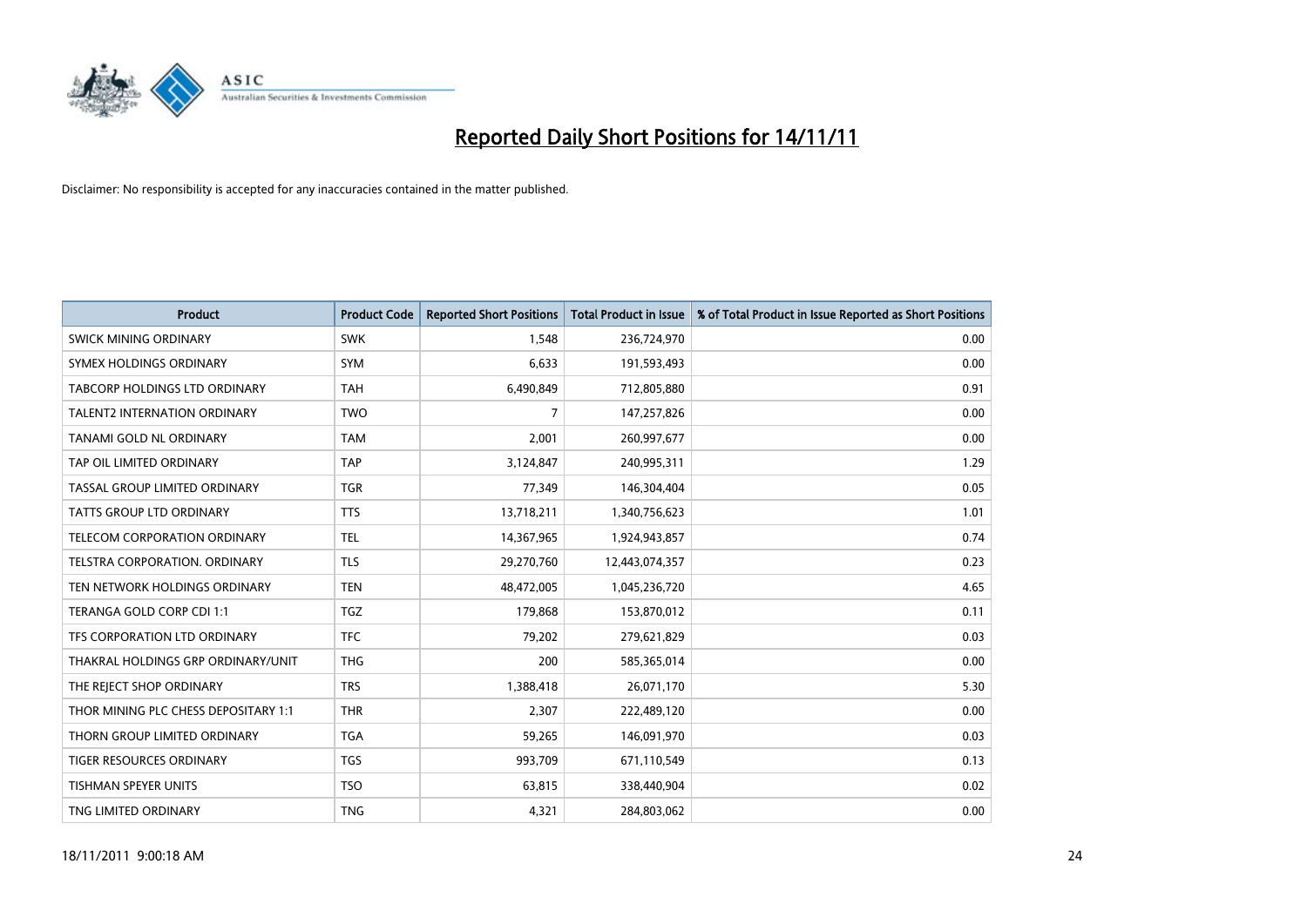

| <b>Product</b>                       | <b>Product Code</b> | <b>Reported Short Positions</b> | <b>Total Product in Issue</b> | % of Total Product in Issue Reported as Short Positions |
|--------------------------------------|---------------------|---------------------------------|-------------------------------|---------------------------------------------------------|
| SWICK MINING ORDINARY                | <b>SWK</b>          | 1.548                           | 236,724,970                   | 0.00                                                    |
| SYMEX HOLDINGS ORDINARY              | <b>SYM</b>          | 6,633                           | 191,593,493                   | 0.00                                                    |
| TABCORP HOLDINGS LTD ORDINARY        | <b>TAH</b>          | 6,490,849                       | 712,805,880                   | 0.91                                                    |
| TALENT2 INTERNATION ORDINARY         | <b>TWO</b>          | 7                               | 147,257,826                   | 0.00                                                    |
| TANAMI GOLD NL ORDINARY              | <b>TAM</b>          | 2,001                           | 260,997,677                   | 0.00                                                    |
| TAP OIL LIMITED ORDINARY             | <b>TAP</b>          | 3,124,847                       | 240,995,311                   | 1.29                                                    |
| TASSAL GROUP LIMITED ORDINARY        | <b>TGR</b>          | 77,349                          | 146,304,404                   | 0.05                                                    |
| <b>TATTS GROUP LTD ORDINARY</b>      | <b>TTS</b>          | 13,718,211                      | 1,340,756,623                 | 1.01                                                    |
| TELECOM CORPORATION ORDINARY         | <b>TEL</b>          | 14,367,965                      | 1,924,943,857                 | 0.74                                                    |
| TELSTRA CORPORATION, ORDINARY        | <b>TLS</b>          | 29,270,760                      | 12,443,074,357                | 0.23                                                    |
| TEN NETWORK HOLDINGS ORDINARY        | <b>TEN</b>          | 48,472,005                      | 1,045,236,720                 | 4.65                                                    |
| TERANGA GOLD CORP CDI 1:1            | <b>TGZ</b>          | 179,868                         | 153,870,012                   | 0.11                                                    |
| TFS CORPORATION LTD ORDINARY         | <b>TFC</b>          | 79,202                          | 279,621,829                   | 0.03                                                    |
| THAKRAL HOLDINGS GRP ORDINARY/UNIT   | <b>THG</b>          | 200                             | 585,365,014                   | 0.00                                                    |
| THE REJECT SHOP ORDINARY             | <b>TRS</b>          | 1,388,418                       | 26,071,170                    | 5.30                                                    |
| THOR MINING PLC CHESS DEPOSITARY 1:1 | <b>THR</b>          | 2,307                           | 222,489,120                   | 0.00                                                    |
| THORN GROUP LIMITED ORDINARY         | <b>TGA</b>          | 59,265                          | 146,091,970                   | 0.03                                                    |
| TIGER RESOURCES ORDINARY             | <b>TGS</b>          | 993,709                         | 671,110,549                   | 0.13                                                    |
| <b>TISHMAN SPEYER UNITS</b>          | <b>TSO</b>          | 63,815                          | 338,440,904                   | 0.02                                                    |
| TNG LIMITED ORDINARY                 | <b>TNG</b>          | 4,321                           | 284,803,062                   | 0.00                                                    |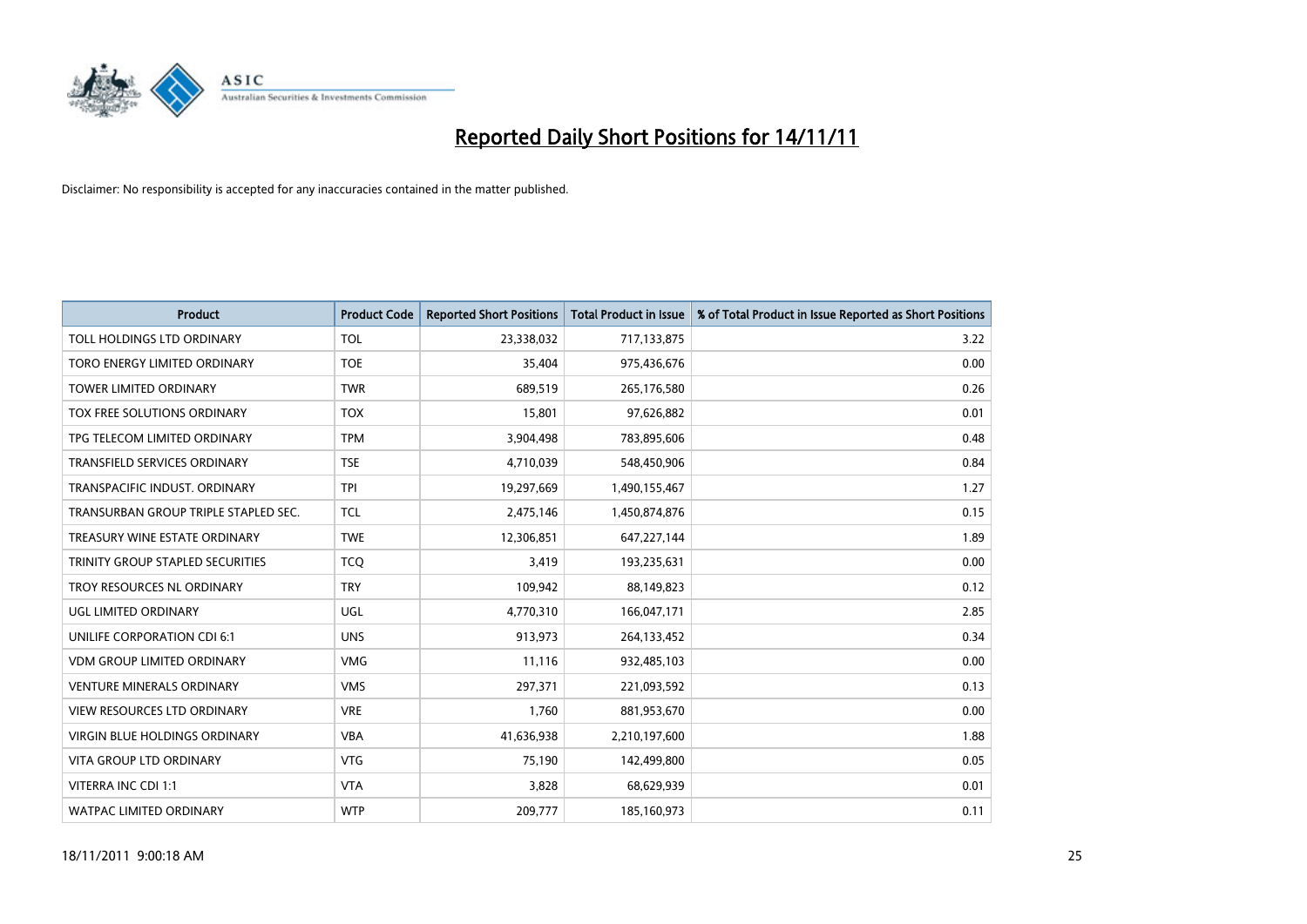

| <b>Product</b>                       | <b>Product Code</b> | <b>Reported Short Positions</b> | <b>Total Product in Issue</b> | % of Total Product in Issue Reported as Short Positions |
|--------------------------------------|---------------------|---------------------------------|-------------------------------|---------------------------------------------------------|
| TOLL HOLDINGS LTD ORDINARY           | <b>TOL</b>          | 23,338,032                      | 717,133,875                   | 3.22                                                    |
| TORO ENERGY LIMITED ORDINARY         | <b>TOE</b>          | 35,404                          | 975,436,676                   | 0.00                                                    |
| <b>TOWER LIMITED ORDINARY</b>        | <b>TWR</b>          | 689,519                         | 265,176,580                   | 0.26                                                    |
| TOX FREE SOLUTIONS ORDINARY          | <b>TOX</b>          | 15,801                          | 97,626,882                    | 0.01                                                    |
| TPG TELECOM LIMITED ORDINARY         | <b>TPM</b>          | 3,904,498                       | 783,895,606                   | 0.48                                                    |
| <b>TRANSFIELD SERVICES ORDINARY</b>  | <b>TSE</b>          | 4,710,039                       | 548,450,906                   | 0.84                                                    |
| TRANSPACIFIC INDUST, ORDINARY        | <b>TPI</b>          | 19,297,669                      | 1,490,155,467                 | 1.27                                                    |
| TRANSURBAN GROUP TRIPLE STAPLED SEC. | <b>TCL</b>          | 2,475,146                       | 1,450,874,876                 | 0.15                                                    |
| TREASURY WINE ESTATE ORDINARY        | <b>TWE</b>          | 12,306,851                      | 647,227,144                   | 1.89                                                    |
| TRINITY GROUP STAPLED SECURITIES     | <b>TCO</b>          | 3,419                           | 193,235,631                   | 0.00                                                    |
| TROY RESOURCES NL ORDINARY           | <b>TRY</b>          | 109,942                         | 88,149,823                    | 0.12                                                    |
| UGL LIMITED ORDINARY                 | UGL                 | 4,770,310                       | 166,047,171                   | 2.85                                                    |
| UNILIFE CORPORATION CDI 6:1          | <b>UNS</b>          | 913,973                         | 264,133,452                   | 0.34                                                    |
| <b>VDM GROUP LIMITED ORDINARY</b>    | <b>VMG</b>          | 11,116                          | 932,485,103                   | 0.00                                                    |
| <b>VENTURE MINERALS ORDINARY</b>     | <b>VMS</b>          | 297,371                         | 221,093,592                   | 0.13                                                    |
| VIEW RESOURCES LTD ORDINARY          | <b>VRE</b>          | 1,760                           | 881,953,670                   | 0.00                                                    |
| VIRGIN BLUE HOLDINGS ORDINARY        | <b>VBA</b>          | 41,636,938                      | 2,210,197,600                 | 1.88                                                    |
| VITA GROUP LTD ORDINARY              | <b>VTG</b>          | 75,190                          | 142,499,800                   | 0.05                                                    |
| VITERRA INC CDI 1:1                  | <b>VTA</b>          | 3,828                           | 68,629,939                    | 0.01                                                    |
| WATPAC LIMITED ORDINARY              | <b>WTP</b>          | 209,777                         | 185,160,973                   | 0.11                                                    |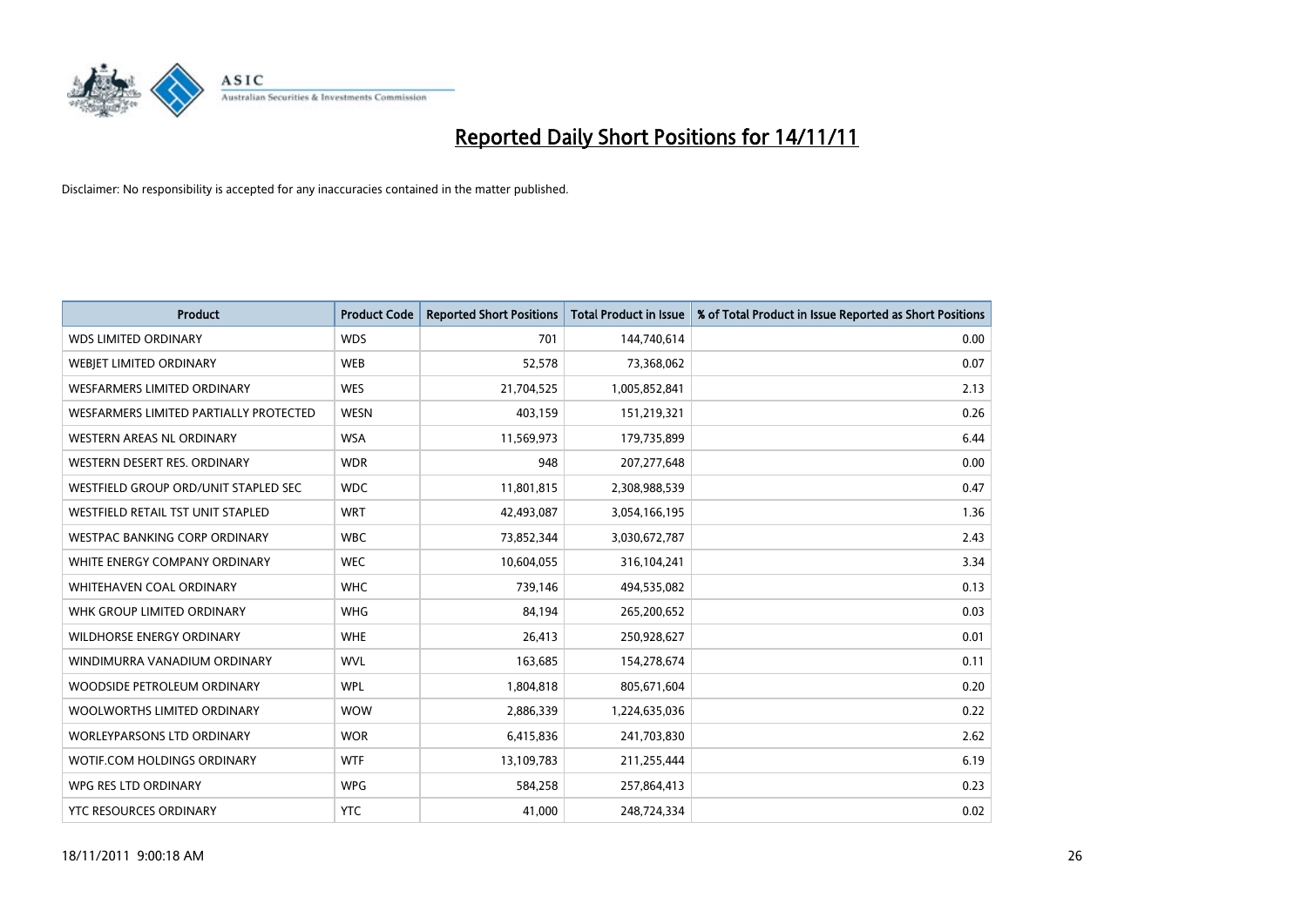

| <b>Product</b>                         | <b>Product Code</b> | <b>Reported Short Positions</b> | Total Product in Issue | % of Total Product in Issue Reported as Short Positions |
|----------------------------------------|---------------------|---------------------------------|------------------------|---------------------------------------------------------|
| <b>WDS LIMITED ORDINARY</b>            | <b>WDS</b>          | 701                             | 144,740,614            | 0.00                                                    |
| WEBJET LIMITED ORDINARY                | <b>WEB</b>          | 52,578                          | 73,368,062             | 0.07                                                    |
| <b>WESFARMERS LIMITED ORDINARY</b>     | <b>WES</b>          | 21,704,525                      | 1,005,852,841          | 2.13                                                    |
| WESFARMERS LIMITED PARTIALLY PROTECTED | <b>WESN</b>         | 403,159                         | 151,219,321            | 0.26                                                    |
| <b>WESTERN AREAS NL ORDINARY</b>       | <b>WSA</b>          | 11,569,973                      | 179,735,899            | 6.44                                                    |
| WESTERN DESERT RES. ORDINARY           | <b>WDR</b>          | 948                             | 207, 277, 648          | 0.00                                                    |
| WESTFIELD GROUP ORD/UNIT STAPLED SEC   | <b>WDC</b>          | 11,801,815                      | 2,308,988,539          | 0.47                                                    |
| WESTFIELD RETAIL TST UNIT STAPLED      | <b>WRT</b>          | 42,493,087                      | 3,054,166,195          | 1.36                                                    |
| <b>WESTPAC BANKING CORP ORDINARY</b>   | <b>WBC</b>          | 73,852,344                      | 3,030,672,787          | 2.43                                                    |
| WHITE ENERGY COMPANY ORDINARY          | <b>WEC</b>          | 10,604,055                      | 316,104,241            | 3.34                                                    |
| <b>WHITEHAVEN COAL ORDINARY</b>        | <b>WHC</b>          | 739,146                         | 494,535,082            | 0.13                                                    |
| WHK GROUP LIMITED ORDINARY             | <b>WHG</b>          | 84,194                          | 265,200,652            | 0.03                                                    |
| <b>WILDHORSE ENERGY ORDINARY</b>       | <b>WHE</b>          | 26,413                          | 250,928,627            | 0.01                                                    |
| WINDIMURRA VANADIUM ORDINARY           | <b>WVL</b>          | 163,685                         | 154,278,674            | 0.11                                                    |
| WOODSIDE PETROLEUM ORDINARY            | <b>WPL</b>          | 1,804,818                       | 805,671,604            | 0.20                                                    |
| WOOLWORTHS LIMITED ORDINARY            | <b>WOW</b>          | 2,886,339                       | 1,224,635,036          | 0.22                                                    |
| WORLEYPARSONS LTD ORDINARY             | <b>WOR</b>          | 6,415,836                       | 241,703,830            | 2.62                                                    |
| <b>WOTIF.COM HOLDINGS ORDINARY</b>     | <b>WTF</b>          | 13,109,783                      | 211,255,444            | 6.19                                                    |
| WPG RES LTD ORDINARY                   | <b>WPG</b>          | 584,258                         | 257,864,413            | 0.23                                                    |
| YTC RESOURCES ORDINARY                 | <b>YTC</b>          | 41,000                          | 248,724,334            | 0.02                                                    |